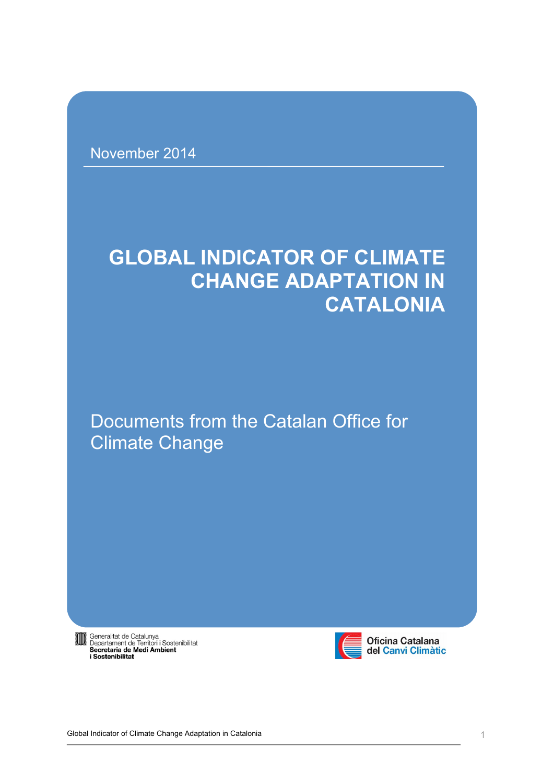November 2014

# **GLOBAL INDICATOR OF CLIMATE CHANGE ADAPTATION IN CATALONIA**

# Documents from the Catalan Office for Climate Change

**Sameralitat de Catalunya<br>
Departament de Territori i Sostenibilitat<br>
Secretaria de Medi Ambient<br>
i Sostenibilitat** 



Oficina Catalana<br>del Canvi Climàtic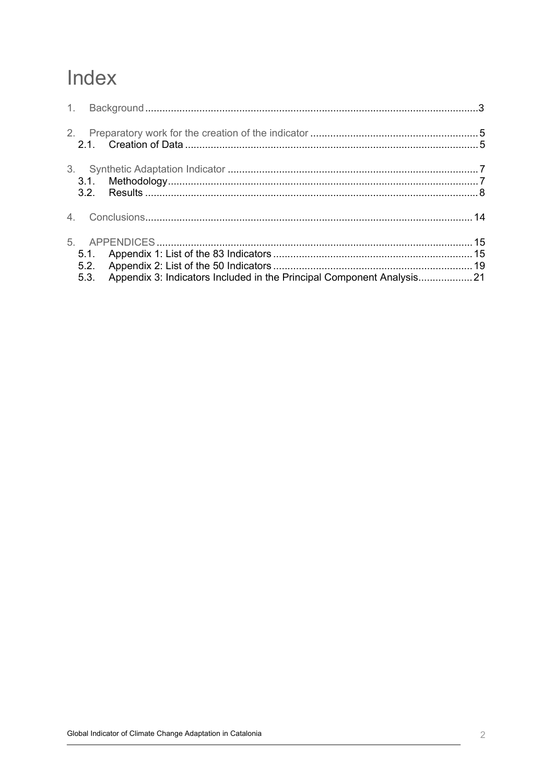# Index

| 3.1.<br>3.2.         |                                                                       |  |
|----------------------|-----------------------------------------------------------------------|--|
|                      |                                                                       |  |
| 5.1.<br>5.2.<br>5.3. | Appendix 3: Indicators Included in the Principal Component Analysis21 |  |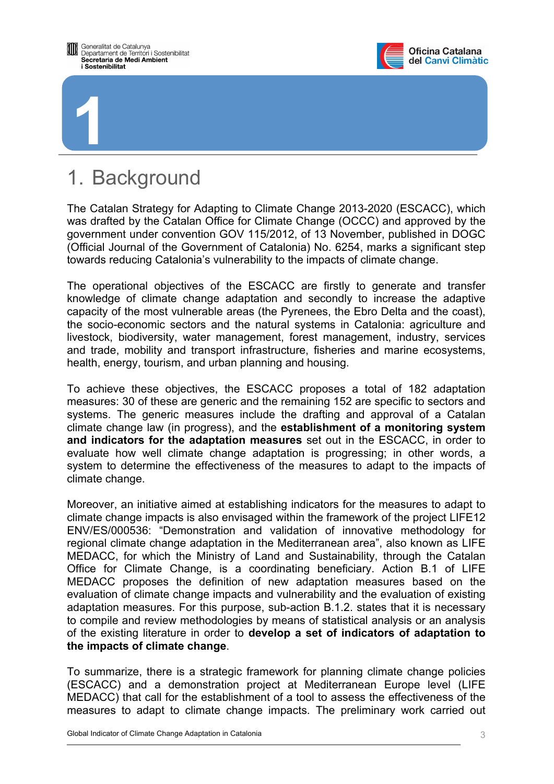<span id="page-2-0"></span>

**1**



# 1. Background

The Catalan Strategy for Adapting to Climate Change 2013-2020 (ESCACC), which was drafted by the Catalan Office for Climate Change (OCCC) and approved by the government under convention GOV 115/2012, of 13 November, published in DOGC (Official Journal of the Government of Catalonia) No. 6254, marks a significant step towards reducing Catalonia's vulnerability to the impacts of climate change.

The operational objectives of the ESCACC are firstly to generate and transfer knowledge of climate change adaptation and secondly to increase the adaptive capacity of the most vulnerable areas (the Pyrenees, the Ebro Delta and the coast), the socio-economic sectors and the natural systems in Catalonia: agriculture and livestock, biodiversity, water management, forest management, industry, services and trade, mobility and transport infrastructure, fisheries and marine ecosystems, health, energy, tourism, and urban planning and housing.

To achieve these objectives, the ESCACC proposes a total of 182 adaptation measures: 30 of these are generic and the remaining 152 are specific to sectors and systems. The generic measures include the drafting and approval of a Catalan climate change law (in progress), and the **establishment of a monitoring system and indicators for the adaptation measures** set out in the ESCACC, in order to evaluate how well climate change adaptation is progressing; in other words, a system to determine the effectiveness of the measures to adapt to the impacts of climate change.

Moreover, an initiative aimed at establishing indicators for the measures to adapt to climate change impacts is also envisaged within the framework of the project LIFE12 ENV/ES/000536: "Demonstration and validation of innovative methodology for regional climate change adaptation in the Mediterranean area", also known as LIFE MEDACC, for which the Ministry of Land and Sustainability, through the Catalan Office for Climate Change, is a coordinating beneficiary. Action B.1 of LIFE MEDACC proposes the definition of new adaptation measures based on the evaluation of climate change impacts and vulnerability and the evaluation of existing adaptation measures. For this purpose, sub-action B.1.2. states that it is necessary to compile and review methodologies by means of statistical analysis or an analysis of the existing literature in order to **develop a set of indicators of adaptation to the impacts of climate change**.

To summarize, there is a strategic framework for planning climate change policies (ESCACC) and a demonstration project at Mediterranean Europe level (LIFE MEDACC) that call for the establishment of a tool to assess the effectiveness of the measures to adapt to climate change impacts. The preliminary work carried out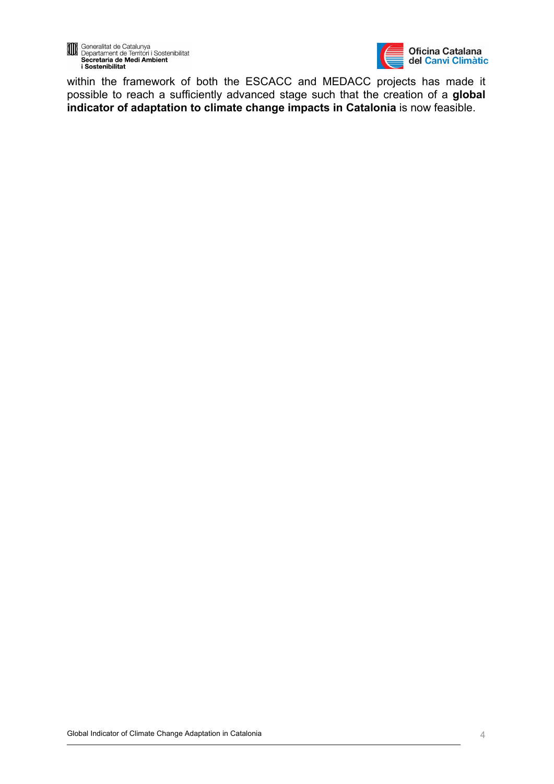



within the framework of both the ESCACC and MEDACC projects has made it possible to reach a sufficiently advanced stage such that the creation of a **global indicator of adaptation to climate change impacts in Catalonia** is now feasible.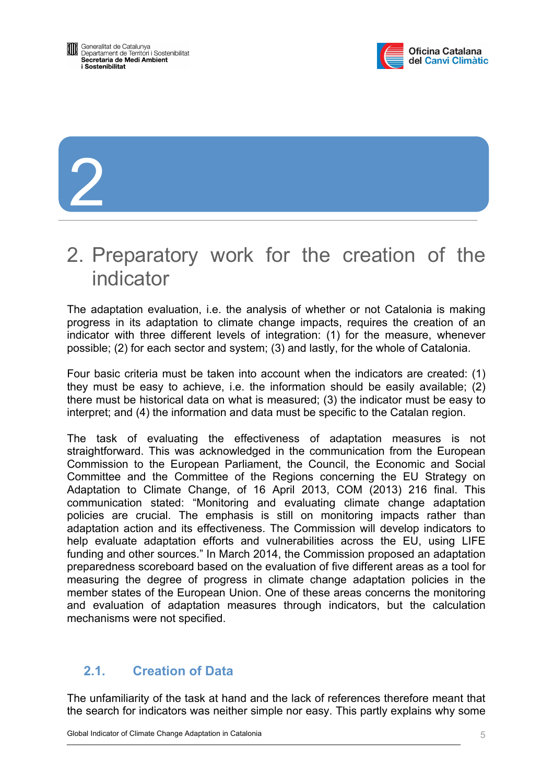

# <span id="page-4-0"></span>2

# 2. Preparatory work for the creation of the indicator

The adaptation evaluation, i.e. the analysis of whether or not Catalonia is making progress in its adaptation to climate change impacts, requires the creation of an indicator with three different levels of integration: (1) for the measure, whenever possible; (2) for each sector and system; (3) and lastly, for the whole of Catalonia.

Four basic criteria must be taken into account when the indicators are created: (1) they must be easy to achieve, i.e. the information should be easily available; (2) there must be historical data on what is measured; (3) the indicator must be easy to interpret; and (4) the information and data must be specific to the Catalan region.

The task of evaluating the effectiveness of adaptation measures is not straightforward. This was acknowledged in the communication from the European Commission to the European Parliament, the Council, the Economic and Social Committee and the Committee of the Regions concerning the EU Strategy on Adaptation to Climate Change, of 16 April 2013, COM (2013) 216 final. This communication stated: "Monitoring and evaluating climate change adaptation policies are crucial. The emphasis is still on monitoring impacts rather than adaptation action and its effectiveness. The Commission will develop indicators to help evaluate adaptation efforts and vulnerabilities across the EU, using LIFE funding and other sources." In March 2014, the Commission proposed an adaptation preparedness scoreboard based on the evaluation of five different areas as a tool for measuring the degree of progress in climate change adaptation policies in the member states of the European Union. One of these areas concerns the monitoring and evaluation of adaptation measures through indicators, but the calculation mechanisms were not specified.

# **2.1. Creation of Data**

The unfamiliarity of the task at hand and the lack of references therefore meant that the search for indicators was neither simple nor easy. This partly explains why some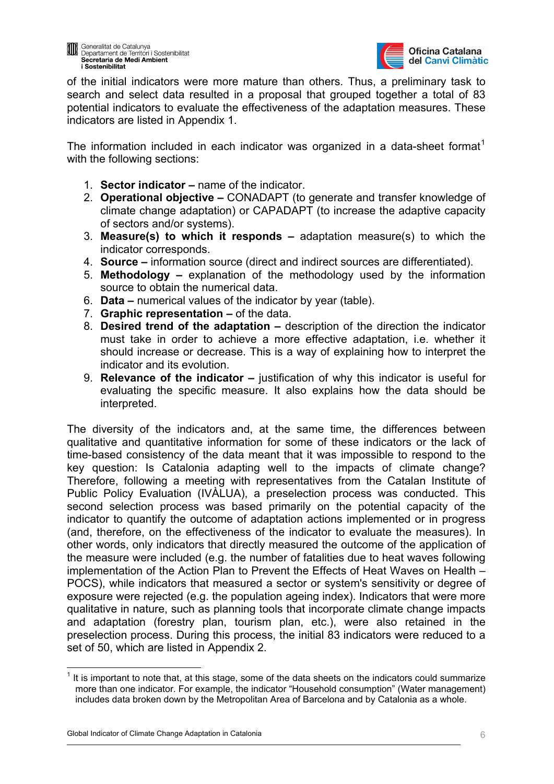

of the initial indicators were more mature than others. Thus, a preliminary task to search and select data resulted in a proposal that grouped together a total of 83 potential indicators to evaluate the effectiveness of the adaptation measures. These indicators are listed in Appendix 1.

The information included in each indicator was organized in a data-sheet format<sup>[1](#page-5-0)</sup> with the following sections:

- 1. **Sector indicator –** name of the indicator.
- 2. **Operational objective –** CONADAPT (to generate and transfer knowledge of climate change adaptation) or CAPADAPT (to increase the adaptive capacity of sectors and/or systems).
- 3. **Measure(s) to which it responds –** adaptation measure(s) to which the indicator corresponds.
- 4. **Source –** information source (direct and indirect sources are differentiated).
- 5. **Methodology –** explanation of the methodology used by the information source to obtain the numerical data.
- 6. **Data –** numerical values of the indicator by year (table).
- 7. **Graphic representation –** of the data.
- 8. **Desired trend of the adaptation –** description of the direction the indicator must take in order to achieve a more effective adaptation, i.e. whether it should increase or decrease. This is a way of explaining how to interpret the indicator and its evolution.
- 9. **Relevance of the indicator –** justification of why this indicator is useful for evaluating the specific measure. It also explains how the data should be interpreted.

The diversity of the indicators and, at the same time, the differences between qualitative and quantitative information for some of these indicators or the lack of time-based consistency of the data meant that it was impossible to respond to the key question: Is Catalonia adapting well to the impacts of climate change? Therefore, following a meeting with representatives from the Catalan Institute of Public Policy Evaluation (IVÀLUA), a preselection process was conducted. This second selection process was based primarily on the potential capacity of the indicator to quantify the outcome of adaptation actions implemented or in progress (and, therefore, on the effectiveness of the indicator to evaluate the measures). In other words, only indicators that directly measured the outcome of the application of the measure were included (e.g. the number of fatalities due to heat waves following implementation of the Action Plan to Prevent the Effects of Heat Waves on Health – POCS), while indicators that measured a sector or system's sensitivity or degree of exposure were rejected (e.g. the population ageing index). Indicators that were more qualitative in nature, such as planning tools that incorporate climate change impacts and adaptation (forestry plan, tourism plan, etc.), were also retained in the preselection process. During this process, the initial 83 indicators were reduced to a set of 50, which are listed in Appendix 2.

1

<span id="page-5-0"></span><sup>1</sup> It is important to note that, at this stage, some of the data sheets on the indicators could summarize more than one indicator. For example, the indicator "Household consumption" (Water management) includes data broken down by the Metropolitan Area of Barcelona and by Catalonia as a whole.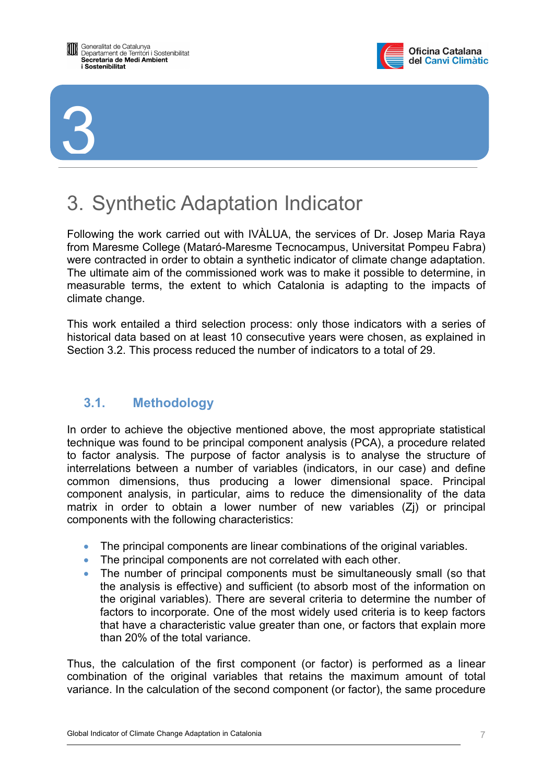<span id="page-6-0"></span>



# 3. Synthetic Adaptation Indicator

Following the work carried out with IVÀLUA, the services of Dr. Josep Maria Raya from Maresme College (Mataró-Maresme Tecnocampus, Universitat Pompeu Fabra) were contracted in order to obtain a synthetic indicator of climate change adaptation. The ultimate aim of the commissioned work was to make it possible to determine, in measurable terms, the extent to which Catalonia is adapting to the impacts of climate change.

This work entailed a third selection process: only those indicators with a series of historical data based on at least 10 consecutive years were chosen, as explained in Section 3.2. This process reduced the number of indicators to a total of 29.

# **3.1. Methodology**

In order to achieve the objective mentioned above, the most appropriate statistical technique was found to be principal component analysis (PCA), a procedure related to factor analysis. The purpose of factor analysis is to analyse the structure of interrelations between a number of variables (indicators, in our case) and define common dimensions, thus producing a lower dimensional space. Principal component analysis, in particular, aims to reduce the dimensionality of the data matrix in order to obtain a lower number of new variables (Zj) or principal components with the following characteristics:

- The principal components are linear combinations of the original variables.
- The principal components are not correlated with each other.
- The number of principal components must be simultaneously small (so that the analysis is effective) and sufficient (to absorb most of the information on the original variables). There are several criteria to determine the number of factors to incorporate. One of the most widely used criteria is to keep factors that have a characteristic value greater than one, or factors that explain more than 20% of the total variance.

Thus, the calculation of the first component (or factor) is performed as a linear combination of the original variables that retains the maximum amount of total variance. In the calculation of the second component (or factor), the same procedure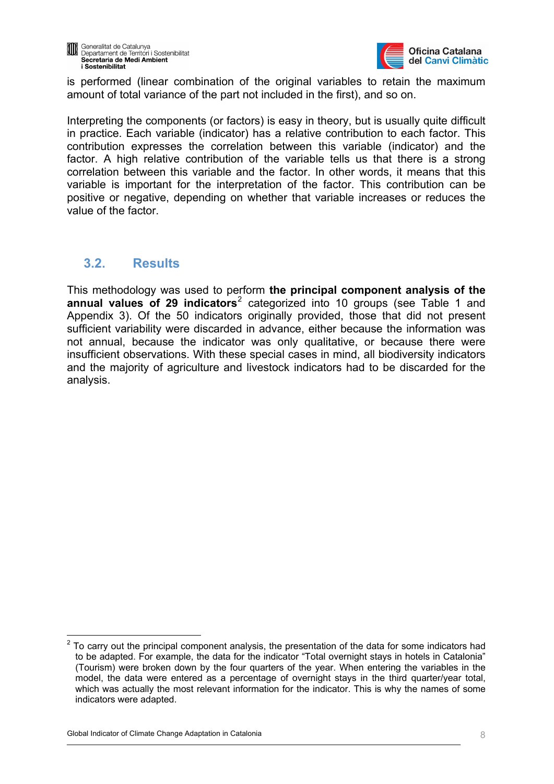<span id="page-7-0"></span>



is performed (linear combination of the original variables to retain the maximum amount of total variance of the part not included in the first), and so on.

Interpreting the components (or factors) is easy in theory, but is usually quite difficult in practice. Each variable (indicator) has a relative contribution to each factor. This contribution expresses the correlation between this variable (indicator) and the factor. A high relative contribution of the variable tells us that there is a strong correlation between this variable and the factor. In other words, it means that this variable is important for the interpretation of the factor. This contribution can be positive or negative, depending on whether that variable increases or reduces the value of the factor.

# **3.2. Results**

This methodology was used to perform **the principal component analysis of the**  annual values of [2](#page-7-1)9 indicators<sup>2</sup> categorized into 10 groups (see Table 1 and Appendix 3). Of the 50 indicators originally provided, those that did not present sufficient variability were discarded in advance, either because the information was not annual, because the indicator was only qualitative, or because there were insufficient observations. With these special cases in mind, all biodiversity indicators and the majority of agriculture and livestock indicators had to be discarded for the analysis.

<span id="page-7-1"></span><sup>1</sup> 2 To carry out the principal component analysis, the presentation of the data for some indicators had to be adapted. For example, the data for the indicator "Total overnight stays in hotels in Catalonia" (Tourism) were broken down by the four quarters of the year. When entering the variables in the model, the data were entered as a percentage of overnight stays in the third quarter/year total, which was actually the most relevant information for the indicator. This is why the names of some indicators were adapted.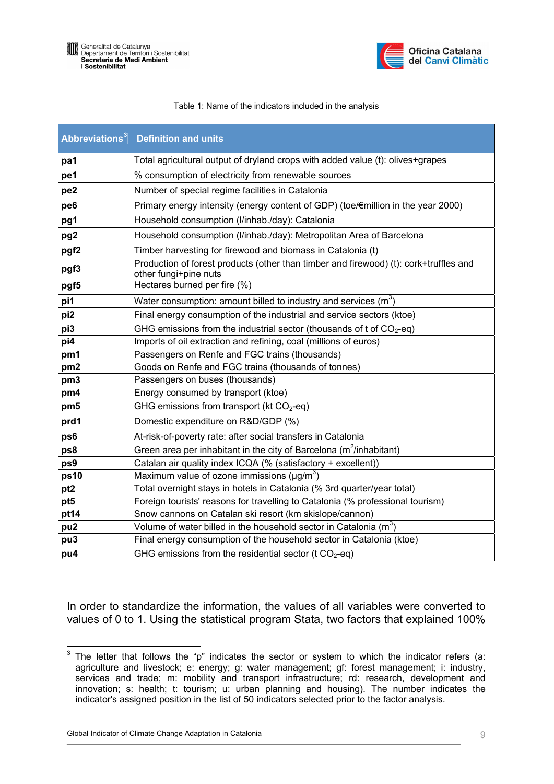



#### Table 1: Name of the indicators included in the analysis

| <b>Abbreviations</b> <sup>3</sup> | <b>Definition and units</b>                                                                                    |  |
|-----------------------------------|----------------------------------------------------------------------------------------------------------------|--|
| pa1                               | Total agricultural output of dryland crops with added value (t): olives+grapes                                 |  |
| pe1                               | % consumption of electricity from renewable sources                                                            |  |
| pe <sub>2</sub>                   | Number of special regime facilities in Catalonia                                                               |  |
| pe6                               | Primary energy intensity (energy content of GDP) (toe/€million in the year 2000)                               |  |
| pg1                               | Household consumption (I/inhab./day): Catalonia                                                                |  |
| pg <sub>2</sub>                   | Household consumption (I/inhab./day): Metropolitan Area of Barcelona                                           |  |
| pgf <sub>2</sub>                  | Timber harvesting for firewood and biomass in Catalonia (t)                                                    |  |
| pgf3                              | Production of forest products (other than timber and firewood) (t): cork+truffles and<br>other fungi+pine nuts |  |
| pgf5                              | Hectares burned per fire (%)                                                                                   |  |
| pi1                               | Water consumption: amount billed to industry and services $(m^3)$                                              |  |
| pi2                               | Final energy consumption of the industrial and service sectors (ktoe)                                          |  |
| pi3                               | GHG emissions from the industrial sector (thousands of t of $CO2$ -eq)                                         |  |
| pi4                               | Imports of oil extraction and refining, coal (millions of euros)                                               |  |
| pm1                               | Passengers on Renfe and FGC trains (thousands)                                                                 |  |
| pm <sub>2</sub>                   | Goods on Renfe and FGC trains (thousands of tonnes)                                                            |  |
| pm <sub>3</sub>                   | Passengers on buses (thousands)                                                                                |  |
| pm4                               | Energy consumed by transport (ktoe)                                                                            |  |
| pm5                               | GHG emissions from transport (kt $CO2$ -eq)                                                                    |  |
| prd1                              | Domestic expenditure on R&D/GDP (%)                                                                            |  |
| ps6                               | At-risk-of-poverty rate: after social transfers in Catalonia                                                   |  |
| ps8                               | Green area per inhabitant in the city of Barcelona ( $m^2$ /inhabitant)                                        |  |
| ps9                               | Catalan air quality index ICQA (% (satisfactory + excellent))                                                  |  |
| ps10                              | Maximum value of ozone immissions ( $\mu$ g/m <sup>3</sup> )                                                   |  |
| pt <sub>2</sub>                   | Total overnight stays in hotels in Catalonia (% 3rd quarter/year total)                                        |  |
| pt5                               | Foreign tourists' reasons for travelling to Catalonia (% professional tourism)                                 |  |
| pt14                              | Snow cannons on Catalan ski resort (km skislope/cannon)                                                        |  |
| pu <sub>2</sub>                   | Volume of water billed in the household sector in Catalonia $(m^3)$                                            |  |
| pu3                               | Final energy consumption of the household sector in Catalonia (ktoe)                                           |  |
| pu4                               | GHG emissions from the residential sector (t $CO2$ -eq)                                                        |  |

In order to standardize the information, the values of all variables were converted to values of 0 to 1. Using the statistical program Stata, two factors that explained 100%

<span id="page-8-0"></span>The letter that follows the "p" indicates the sector or system to which the indicator refers (a: agriculture and livestock; e: energy; g: water management; gf: forest management; i: industry, services and trade; m: mobility and transport infrastructure; rd: research, development and innovation; s: health; t: tourism; u: urban planning and housing). The number indicates the indicator's assigned position in the list of 50 indicators selected prior to the factor analysis.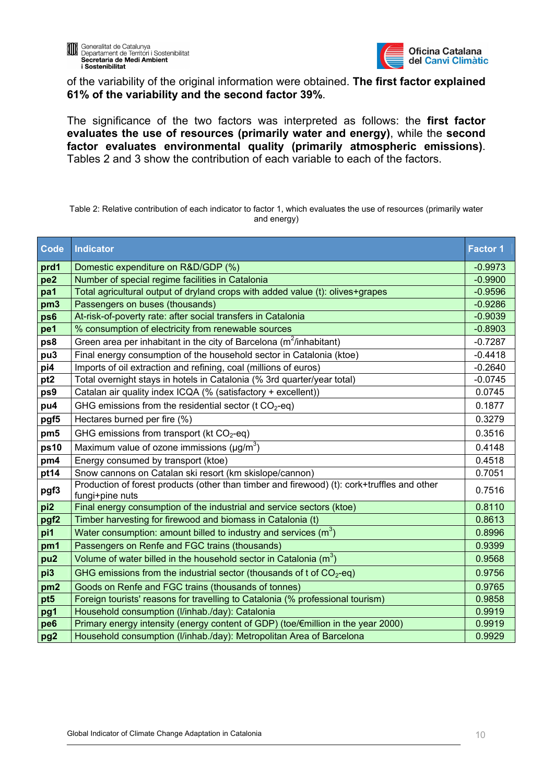

of the variability of the original information were obtained. **The first factor explained 61% of the variability and the second factor 39%**.

The significance of the two factors was interpreted as follows: the **first factor evaluates the use of resources (primarily water and energy)**, while the **second factor evaluates environmental quality (primarily atmospheric emissions)**. Tables 2 and 3 show the contribution of each variable to each of the factors.

Table 2: Relative contribution of each indicator to factor 1, which evaluates the use of resources (primarily water and energy)

| Code             | <b>Indicator</b>                                                                                               | <b>Factor 1</b> |
|------------------|----------------------------------------------------------------------------------------------------------------|-----------------|
| prd1             | Domestic expenditure on R&D/GDP (%)                                                                            | $-0.9973$       |
| pe <sub>2</sub>  | Number of special regime facilities in Catalonia                                                               |                 |
| pa1              | Total agricultural output of dryland crops with added value (t): olives+grapes                                 | $-0.9596$       |
| pm <sub>3</sub>  | Passengers on buses (thousands)                                                                                | $-0.9286$       |
| ps6              | At-risk-of-poverty rate: after social transfers in Catalonia                                                   | $-0.9039$       |
| pe1              | % consumption of electricity from renewable sources                                                            | $-0.8903$       |
| ps8              | Green area per inhabitant in the city of Barcelona ( $m^2$ /inhabitant)                                        | $-0.7287$       |
| pu <sub>3</sub>  | Final energy consumption of the household sector in Catalonia (ktoe)                                           | $-0.4418$       |
| pi4              | Imports of oil extraction and refining, coal (millions of euros)                                               | $-0.2640$       |
| pt <sub>2</sub>  | Total overnight stays in hotels in Catalonia (% 3rd quarter/year total)                                        | $-0.0745$       |
| ps9              | Catalan air quality index ICQA (% (satisfactory + excellent))                                                  | 0.0745          |
| pu4              | GHG emissions from the residential sector (t $CO2$ -eq)                                                        | 0.1877          |
| pgf5             | Hectares burned per fire (%)                                                                                   |                 |
| pm5              | GHG emissions from transport (kt $CO2$ -eq)                                                                    | 0.3516          |
| ps10             | Maximum value of ozone immissions ( $\mu$ g/m <sup>3</sup> )                                                   | 0.4148          |
| pm4              | Energy consumed by transport (ktoe)                                                                            | 0.4518          |
| pt14             | Snow cannons on Catalan ski resort (km skislope/cannon)                                                        | 0.7051          |
| pgf3             | Production of forest products (other than timber and firewood) (t): cork+truffles and other<br>fungi+pine nuts | 0.7516          |
| pi2              | Final energy consumption of the industrial and service sectors (ktoe)                                          | 0.8110          |
| pgf <sub>2</sub> | Timber harvesting for firewood and biomass in Catalonia (t)                                                    | 0.8613          |
| pi1              | Water consumption: amount billed to industry and services $(m^3)$                                              | 0.8996          |
| pm1              | Passengers on Renfe and FGC trains (thousands)                                                                 | 0.9399          |
| pu <sub>2</sub>  | Volume of water billed in the household sector in Catalonia $(m^3)$                                            | 0.9568          |
| pi3              | GHG emissions from the industrial sector (thousands of t of $CO2$ -eq)                                         | 0.9756          |
| pm <sub>2</sub>  | Goods on Renfe and FGC trains (thousands of tonnes)                                                            | 0.9765          |
| pt <sub>5</sub>  | Foreign tourists' reasons for travelling to Catalonia (% professional tourism)                                 | 0.9858          |
| pg1              | Household consumption (I/inhab./day): Catalonia                                                                | 0.9919          |
| pe <sub>6</sub>  | Primary energy intensity (energy content of GDP) (toe/€million in the year 2000)                               | 0.9919          |
| pg <sub>2</sub>  | Household consumption (I/inhab./day): Metropolitan Area of Barcelona                                           | 0.9929          |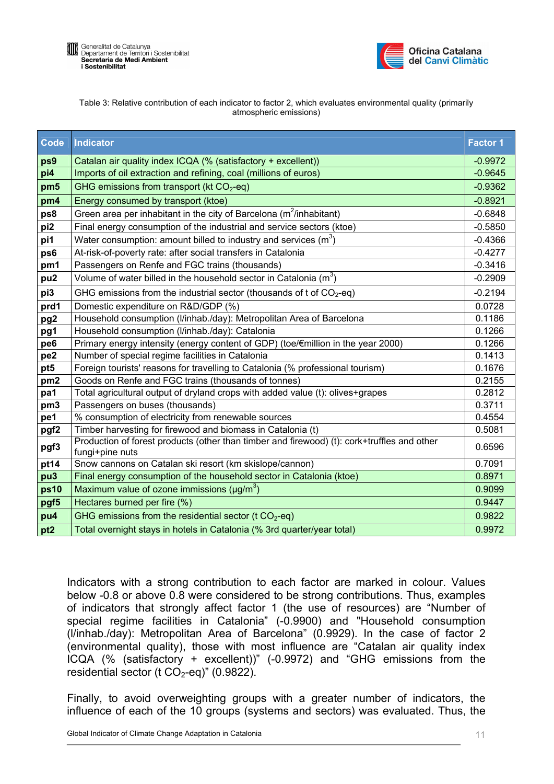

| Table 3: Relative contribution of each indicator to factor 2, which evaluates environmental quality (primarily |
|----------------------------------------------------------------------------------------------------------------|
| atmospheric emissions)                                                                                         |

| <b>Code</b>      | Indicator                                                                                                      | <b>Factor 1</b> |
|------------------|----------------------------------------------------------------------------------------------------------------|-----------------|
| ps9              | Catalan air quality index ICQA (% (satisfactory + excellent))                                                  |                 |
| pi4              | Imports of oil extraction and refining, coal (millions of euros)                                               | $-0.9645$       |
| pm5              | GHG emissions from transport (kt $CO2$ -eq)                                                                    | $-0.9362$       |
| pm4              | Energy consumed by transport (ktoe)                                                                            | $-0.8921$       |
| ps8              | Green area per inhabitant in the city of Barcelona ( $m^2$ /inhabitant)                                        | $-0.6848$       |
| pi <sub>2</sub>  | Final energy consumption of the industrial and service sectors (ktoe)                                          | $-0.5850$       |
| pi1              | Water consumption: amount billed to industry and services ( $m3$ )                                             | $-0.4366$       |
| ps6              | At-risk-of-poverty rate: after social transfers in Catalonia                                                   | $-0.4277$       |
| pm1              | Passengers on Renfe and FGC trains (thousands)                                                                 | $-0.3416$       |
| pu <sub>2</sub>  | Volume of water billed in the household sector in Catalonia $(m^3)$                                            | $-0.2909$       |
| pi3              | GHG emissions from the industrial sector (thousands of t of $CO2$ -eq)                                         | $-0.2194$       |
| prd1             | Domestic expenditure on R&D/GDP (%)                                                                            | 0.0728          |
| pg <sub>2</sub>  | Household consumption (I/inhab./day): Metropolitan Area of Barcelona                                           | 0.1186          |
| pg1              | Household consumption (I/inhab./day): Catalonia                                                                | 0.1266          |
| pe <sub>6</sub>  | Primary energy intensity (energy content of GDP) (toe/€million in the year 2000)                               |                 |
| pe <sub>2</sub>  | Number of special regime facilities in Catalonia                                                               |                 |
| pt5              | Foreign tourists' reasons for travelling to Catalonia (% professional tourism)                                 |                 |
| pm <sub>2</sub>  | Goods on Renfe and FGC trains (thousands of tonnes)                                                            | 0.2155          |
| pa1              | Total agricultural output of dryland crops with added value (t): olives+grapes                                 | 0.2812          |
| pm3              | Passengers on buses (thousands)                                                                                | 0.3711          |
| pe1              | % consumption of electricity from renewable sources                                                            | 0.4554          |
| pgf <sub>2</sub> | Timber harvesting for firewood and biomass in Catalonia (t)                                                    | 0.5081          |
| pgf3             | Production of forest products (other than timber and firewood) (t): cork+truffles and other<br>fungi+pine nuts | 0.6596          |
| pt14             | Snow cannons on Catalan ski resort (km skislope/cannon)                                                        | 0.7091          |
| pu <sub>3</sub>  | Final energy consumption of the household sector in Catalonia (ktoe)                                           | 0.8971          |
| <b>ps10</b>      | Maximum value of ozone immissions ( $\mu$ g/m <sup>3</sup> )                                                   | 0.9099          |
| pgf5             | Hectares burned per fire (%)                                                                                   | 0.9447          |
| pu4              | GHG emissions from the residential sector (t $CO2$ -eq)                                                        | 0.9822          |
| pt <sub>2</sub>  | Total overnight stays in hotels in Catalonia (% 3rd quarter/year total)                                        | 0.9972          |

Indicators with a strong contribution to each factor are marked in colour. Values below -0.8 or above 0.8 were considered to be strong contributions. Thus, examples of indicators that strongly affect factor 1 (the use of resources) are "Number of special regime facilities in Catalonia" (-0.9900) and "Household consumption (l/inhab./day): Metropolitan Area of Barcelona" (0.9929). In the case of factor 2 (environmental quality), those with most influence are "Catalan air quality index ICQA (% (satisfactory + excellent))" (-0.9972) and "GHG emissions from the residential sector (t  $CO<sub>2</sub>$ -eq)" (0.9822).

Finally, to avoid overweighting groups with a greater number of indicators, the influence of each of the 10 groups (systems and sectors) was evaluated. Thus, the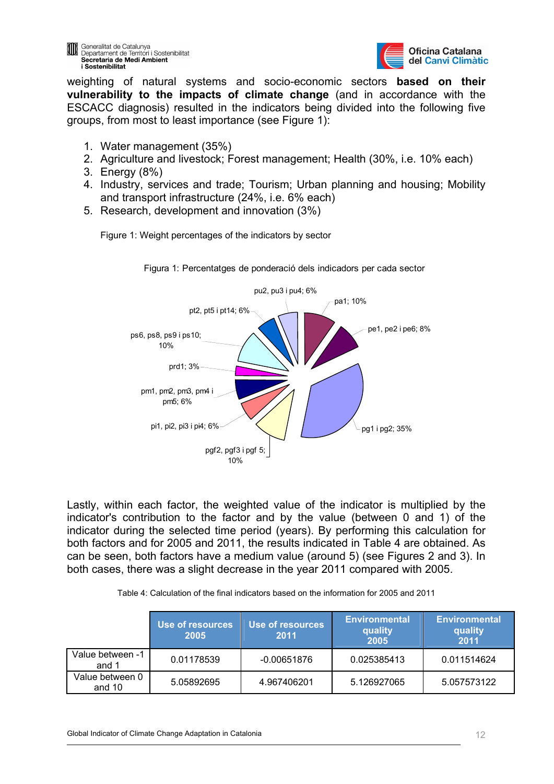

weighting of natural systems and socio-economic sectors **based on their vulnerability to the impacts of climate change** (and in accordance with the ESCACC diagnosis) resulted in the indicators being divided into the following five groups, from most to least importance (see Figure 1):

- 1. Water management (35%)
- 2. Agriculture and livestock; Forest management; Health (30%, i.e. 10% each)
- 3. Energy (8%)
- 4. Industry, services and trade; Tourism; Urban planning and housing; Mobility and transport infrastructure (24%, i.e. 6% each)
- 5. Research, development and innovation (3%)

Figure 1: Weight percentages of the indicators by sector



Figura 1: Percentatges de ponderació dels indicadors per cada sector

Lastly, within each factor, the weighted value of the indicator is multiplied by the indicator's contribution to the factor and by the value (between 0 and 1) of the indicator during the selected time period (years). By performing this calculation for both factors and for 2005 and 2011, the results indicated in Table 4 are obtained. As can be seen, both factors have a medium value (around 5) (see Figures 2 and 3). In both cases, there was a slight decrease in the year 2011 compared with 2005.

|                           | Use of resources<br>2005 | Use of resources<br>2011 | <b>Environmental</b><br>quality<br>2005 | <b>Environmental</b><br>quality<br>2011 |
|---------------------------|--------------------------|--------------------------|-----------------------------------------|-----------------------------------------|
| Value between -1<br>and 1 | 0.01178539               | $-0.00651876$            | 0.025385413                             | 0.011514624                             |
| Value between 0<br>and 10 | 5.05892695               | 4.967406201              | 5.126927065                             | 5.057573122                             |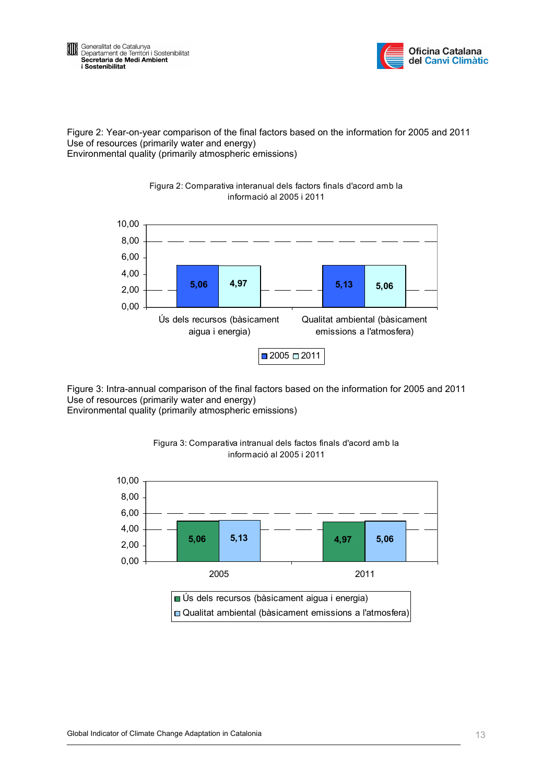



Figure 2: Year-on-year comparison of the final factors based on the information for 2005 and 2011 Use of resources (primarily water and energy) Environmental quality (primarily atmospheric emissions)

Figura 2: Comparativa interanual dels factors finals d'acord amb la



Figure 3: Intra-annual comparison of the final factors based on the information for 2005 and 2011 Use of resources (primarily water and energy) Environmental quality (primarily atmospheric emissions)



Figura 3: Comparativa intranual dels factos finals d'acord amb la informació al 2005 i 2011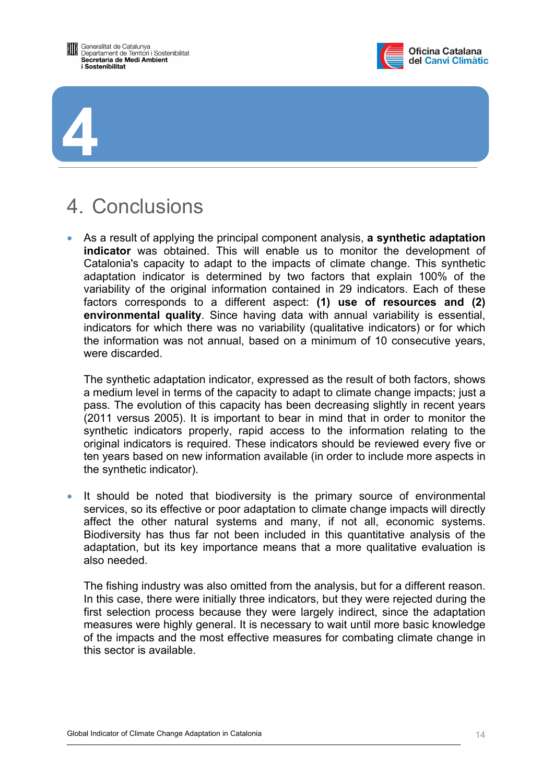<span id="page-13-0"></span>



4. Conclusions

**4**

• As a result of applying the principal component analysis, **a synthetic adaptation indicator** was obtained. This will enable us to monitor the development of Catalonia's capacity to adapt to the impacts of climate change. This synthetic adaptation indicator is determined by two factors that explain 100% of the variability of the original information contained in 29 indicators. Each of these factors corresponds to a different aspect: **(1) use of resources and (2) environmental quality**. Since having data with annual variability is essential, indicators for which there was no variability (qualitative indicators) or for which the information was not annual, based on a minimum of 10 consecutive years, were discarded.

The synthetic adaptation indicator, expressed as the result of both factors, shows a medium level in terms of the capacity to adapt to climate change impacts; just a pass. The evolution of this capacity has been decreasing slightly in recent years (2011 versus 2005). It is important to bear in mind that in order to monitor the synthetic indicators properly, rapid access to the information relating to the original indicators is required. These indicators should be reviewed every five or ten years based on new information available (in order to include more aspects in the synthetic indicator).

It should be noted that biodiversity is the primary source of environmental services, so its effective or poor adaptation to climate change impacts will directly affect the other natural systems and many, if not all, economic systems. Biodiversity has thus far not been included in this quantitative analysis of the adaptation, but its key importance means that a more qualitative evaluation is also needed.

The fishing industry was also omitted from the analysis, but for a different reason. In this case, there were initially three indicators, but they were rejected during the first selection process because they were largely indirect, since the adaptation measures were highly general. It is necessary to wait until more basic knowledge of the impacts and the most effective measures for combating climate change in this sector is available.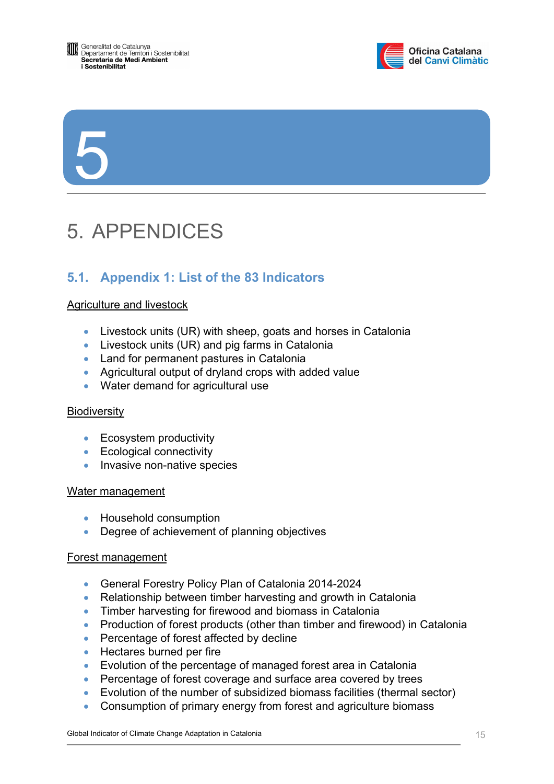<span id="page-14-0"></span>



5

# 5. APPENDICES

# **5.1. Appendix 1: List of the 83 Indicators**

# Agriculture and livestock

- Livestock units (UR) with sheep, goats and horses in Catalonia
- Livestock units (UR) and pig farms in Catalonia
- Land for permanent pastures in Catalonia
- Agricultural output of dryland crops with added value
- Water demand for agricultural use

# **Biodiversity**

- Ecosystem productivity
- Ecological connectivity
- Invasive non-native species

#### Water management

- Household consumption
- Degree of achievement of planning objectives

#### Forest management

- General Forestry Policy Plan of Catalonia 2014-2024
- Relationship between timber harvesting and growth in Catalonia
- Timber harvesting for firewood and biomass in Catalonia
- Production of forest products (other than timber and firewood) in Catalonia
- Percentage of forest affected by decline
- Hectares burned per fire
- Evolution of the percentage of managed forest area in Catalonia
- Percentage of forest coverage and surface area covered by trees
- Evolution of the number of subsidized biomass facilities (thermal sector)
- Consumption of primary energy from forest and agriculture biomass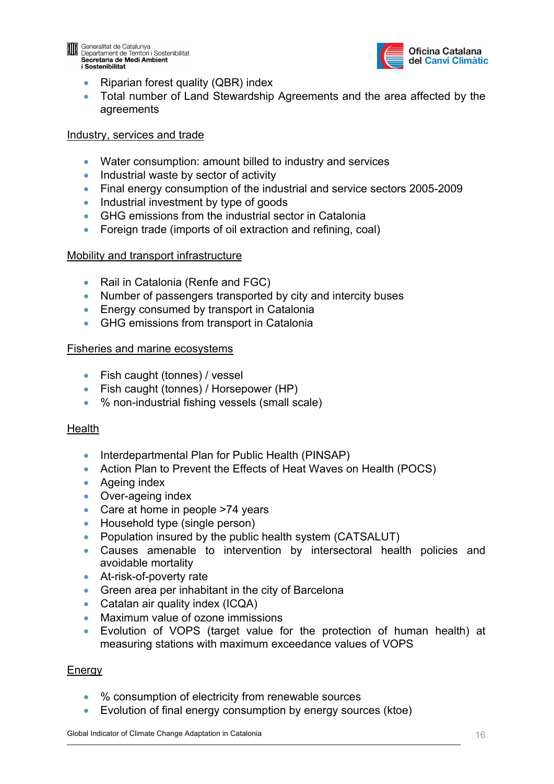

**Deneralitat de Catalunya**<br>Departament de Territori i Sostenibilitat Secretaria de Medi Ambient i Sostenibilitat



- Riparian forest quality (QBR) index
- Total number of Land Stewardship Agreements and the area affected by the agreements

#### Industry, services and trade

- Water consumption: amount billed to industry and services
- Industrial waste by sector of activity
- Final energy consumption of the industrial and service sectors 2005-2009
- Industrial investment by type of goods
- GHG emissions from the industrial sector in Catalonia
- Foreign trade (imports of oil extraction and refining, coal)

# Mobility and transport infrastructure

- Rail in Catalonia (Renfe and FGC)
- Number of passengers transported by city and intercity buses
- Energy consumed by transport in Catalonia
- GHG emissions from transport in Catalonia

#### Fisheries and marine ecosystems

- Fish caught (tonnes) / vessel
- Fish caught (tonnes) / Horsepower (HP)
- % non-industrial fishing vessels (small scale)

# **Health**

- Interdepartmental Plan for Public Health (PINSAP)
- Action Plan to Prevent the Effects of Heat Waves on Health (POCS)
- Ageing index
- Over-ageing index
- Care at home in people >74 years
- Household type (single person)
- Population insured by the public health system (CATSALUT)
- Causes amenable to intervention by intersectoral health policies and avoidable mortality
- At-risk-of-poverty rate
- Green area per inhabitant in the city of Barcelona
- Catalan air quality index (ICQA)
- Maximum value of ozone immissions
- Evolution of VOPS (target value for the protection of human health) at measuring stations with maximum exceedance values of VOPS

# **Energy**

- % consumption of electricity from renewable sources
- Evolution of final energy consumption by energy sources (ktoe)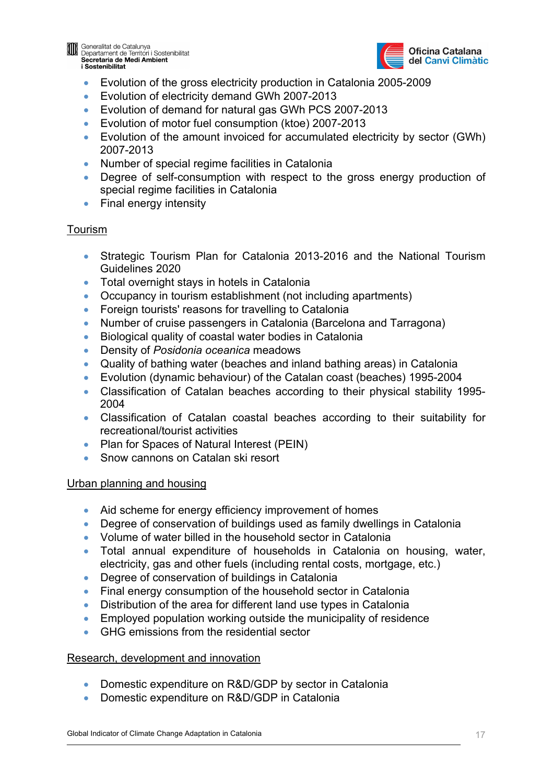

**Deneralitat de Catalunya**<br>Departament de Territori i Sostenibilitat Secretaria de Medi Ambient i Sostenibilitat



- Evolution of the gross electricity production in Catalonia 2005-2009
- Evolution of electricity demand GWh 2007-2013
- Evolution of demand for natural gas GWh PCS 2007-2013
- Evolution of motor fuel consumption (ktoe) 2007-2013
- Evolution of the amount invoiced for accumulated electricity by sector (GWh) 2007-2013
- Number of special regime facilities in Catalonia
- Degree of self-consumption with respect to the gross energy production of special regime facilities in Catalonia
- Final energy intensity

# Tourism

- Strategic Tourism Plan for Catalonia 2013-2016 and the National Tourism Guidelines 2020
- Total overnight stays in hotels in Catalonia
- Occupancy in tourism establishment (not including apartments)
- Foreign tourists' reasons for travelling to Catalonia
- Number of cruise passengers in Catalonia (Barcelona and Tarragona)
- Biological quality of coastal water bodies in Catalonia
- Density of *Posidonia oceanica* meadows
- Quality of bathing water (beaches and inland bathing areas) in Catalonia
- Evolution (dynamic behaviour) of the Catalan coast (beaches) 1995-2004
- Classification of Catalan beaches according to their physical stability 1995- 2004
- Classification of Catalan coastal beaches according to their suitability for recreational/tourist activities
- Plan for Spaces of Natural Interest (PEIN)
- Snow cannons on Catalan ski resort

# Urban planning and housing

- Aid scheme for energy efficiency improvement of homes
- Degree of conservation of buildings used as family dwellings in Catalonia
- Volume of water billed in the household sector in Catalonia
- Total annual expenditure of households in Catalonia on housing, water, electricity, gas and other fuels (including rental costs, mortgage, etc.)
- Degree of conservation of buildings in Catalonia
- Final energy consumption of the household sector in Catalonia
- Distribution of the area for different land use types in Catalonia
- Employed population working outside the municipality of residence
- GHG emissions from the residential sector

# Research, development and innovation

- Domestic expenditure on R&D/GDP by sector in Catalonia
- Domestic expenditure on R&D/GDP in Catalonia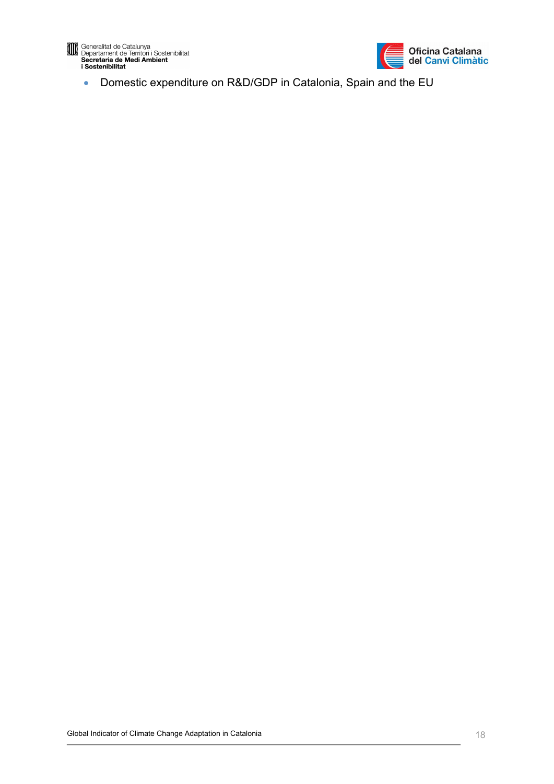

Generalitat de Catalunya<br>Departament de Territori i Sostenibilitat<br>Secretaria de Medi Ambient<br>i Sostenibilitat



• Domestic expenditure on R&D/GDP in Catalonia, Spain and the EU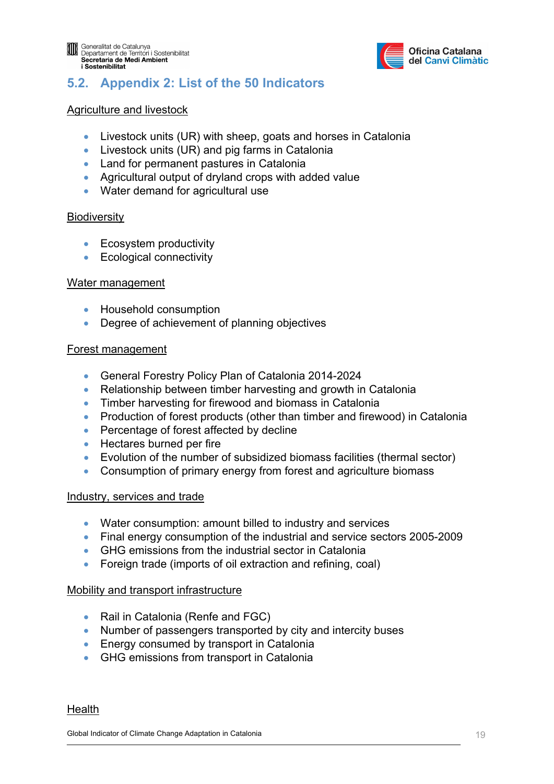

# <span id="page-18-0"></span>**5.2. Appendix 2: List of the 50 Indicators**

# Agriculture and livestock

- Livestock units (UR) with sheep, goats and horses in Catalonia
- Livestock units (UR) and pig farms in Catalonia
- Land for permanent pastures in Catalonia
- Agricultural output of dryland crops with added value
- Water demand for agricultural use

#### **Biodiversity**

- Ecosystem productivity
- Ecological connectivity

#### Water management

- Household consumption
- Degree of achievement of planning objectives

#### Forest management

- General Forestry Policy Plan of Catalonia 2014-2024
- Relationship between timber harvesting and growth in Catalonia
- Timber harvesting for firewood and biomass in Catalonia
- Production of forest products (other than timber and firewood) in Catalonia
- Percentage of forest affected by decline
- Hectares burned per fire
- Evolution of the number of subsidized biomass facilities (thermal sector)
- Consumption of primary energy from forest and agriculture biomass

#### Industry, services and trade

- Water consumption: amount billed to industry and services
- Final energy consumption of the industrial and service sectors 2005-2009
- GHG emissions from the industrial sector in Catalonia
- Foreign trade (imports of oil extraction and refining, coal)

# Mobility and transport infrastructure

- Rail in Catalonia (Renfe and FGC)
- Number of passengers transported by city and intercity buses
- Energy consumed by transport in Catalonia
- GHG emissions from transport in Catalonia

#### Health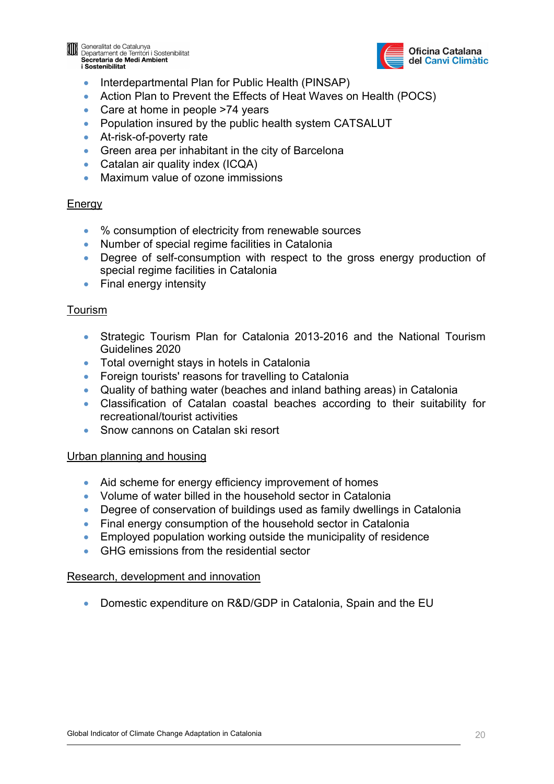

**Confidencialitat de Catalunya**<br>Departament de Territori i Sostenibilitat Secretaria de Medi Ambient i Sostenibilitat



- Interdepartmental Plan for Public Health (PINSAP)
- Action Plan to Prevent the Effects of Heat Waves on Health (POCS)
- Care at home in people >74 years
- Population insured by the public health system CATSALUT
- At-risk-of-poverty rate
- Green area per inhabitant in the city of Barcelona
- Catalan air quality index (ICQA)
- Maximum value of ozone immissions

# **Energy**

- % consumption of electricity from renewable sources
- Number of special regime facilities in Catalonia
- Degree of self-consumption with respect to the gross energy production of special regime facilities in Catalonia
- Final energy intensity

# Tourism

- Strategic Tourism Plan for Catalonia 2013-2016 and the National Tourism Guidelines 2020
- Total overnight stays in hotels in Catalonia
- Foreign tourists' reasons for travelling to Catalonia
- Quality of bathing water (beaches and inland bathing areas) in Catalonia
- Classification of Catalan coastal beaches according to their suitability for recreational/tourist activities
- Snow cannons on Catalan ski resort

# Urban planning and housing

- Aid scheme for energy efficiency improvement of homes
- Volume of water billed in the household sector in Catalonia
- Degree of conservation of buildings used as family dwellings in Catalonia
- Final energy consumption of the household sector in Catalonia
- Employed population working outside the municipality of residence
- GHG emissions from the residential sector

# Research, development and innovation

• Domestic expenditure on R&D/GDP in Catalonia, Spain and the EU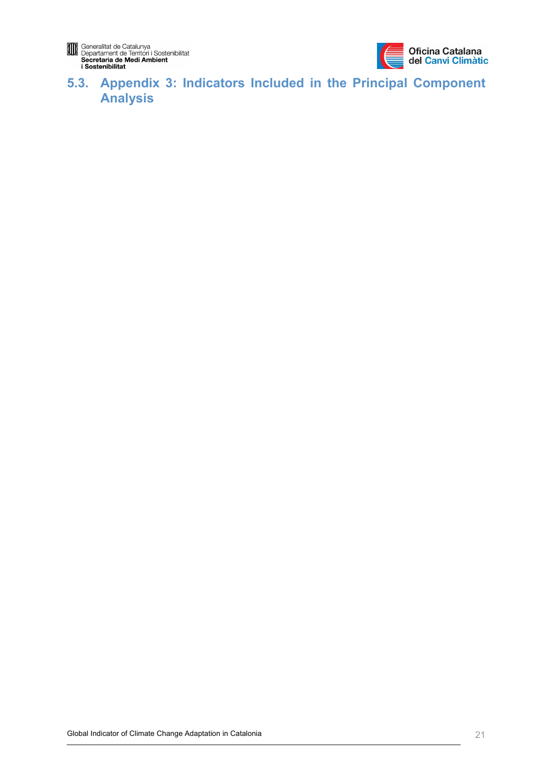

# <span id="page-20-0"></span>**5.3. Appendix 3: Indicators Included in the Principal Component Analysis**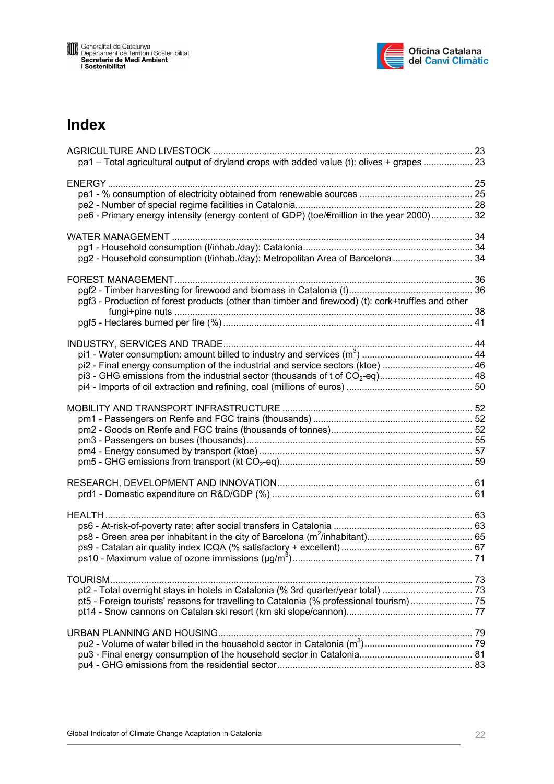

# **Index**

| pa1 - Total agricultural output of dryland crops with added value (t): olives + grapes  23          |  |
|-----------------------------------------------------------------------------------------------------|--|
| pe6 - Primary energy intensity (energy content of GDP) (toe/Emillion in the year 2000) 32           |  |
| pg2 - Household consumption (I/inhab./day): Metropolitan Area of Barcelona  34                      |  |
| pgf3 - Production of forest products (other than timber and firewood) (t): cork+truffles and other  |  |
| pi2 - Final energy consumption of the industrial and service sectors (ktoe)  46                     |  |
|                                                                                                     |  |
|                                                                                                     |  |
|                                                                                                     |  |
| TOURISM<br>pt5 - Foreign tourists' reasons for travelling to Catalonia (% professional tourism)  75 |  |
|                                                                                                     |  |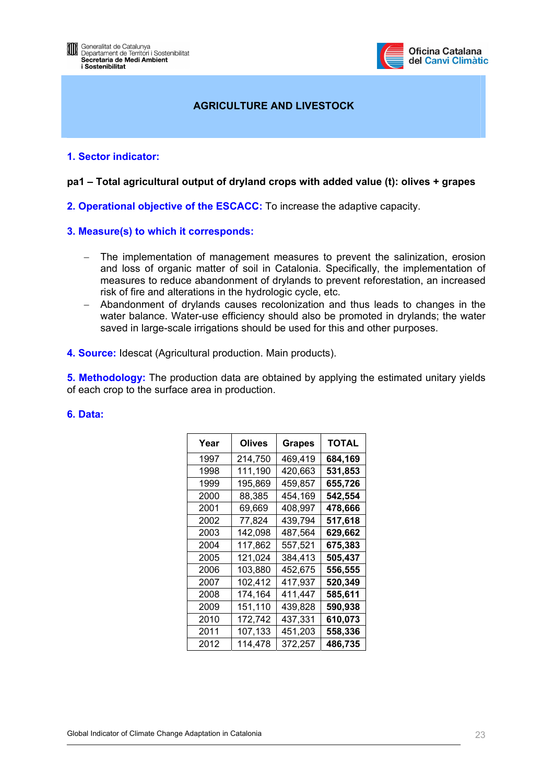

# **AGRICULTURE AND LIVESTOCK**

#### <span id="page-22-0"></span>**1. Sector indicator:**

#### **pa1 – Total agricultural output of dryland crops with added value (t): olives + grapes**

**2. Operational objective of the ESCACC:** To increase the adaptive capacity.

#### **3. Measure(s) to which it corresponds:**

- − The implementation of management measures to prevent the salinization, erosion and loss of organic matter of soil in Catalonia. Specifically, the implementation of measures to reduce abandonment of drylands to prevent reforestation, an increased risk of fire and alterations in the hydrologic cycle, etc.
- − Abandonment of drylands causes recolonization and thus leads to changes in the water balance. Water-use efficiency should also be promoted in drylands; the water saved in large-scale irrigations should be used for this and other purposes.
- **4. Source:** Idescat (Agricultural production. Main products).

**5. Methodology:** The production data are obtained by applying the estimated unitary yields of each crop to the surface area in production.

| Year | <b>Olives</b> | <b>Grapes</b> | <b>TOTAL</b> |
|------|---------------|---------------|--------------|
| 1997 | 214,750       | 469,419       | 684,169      |
| 1998 | 111,190       | 420,663       | 531,853      |
| 1999 | 195,869       | 459,857       | 655,726      |
| 2000 | 88,385        | 454,169       | 542,554      |
| 2001 | 69,669        | 408,997       | 478,666      |
| 2002 | 77,824        | 439,794       | 517,618      |
| 2003 | 142,098       | 487,564       | 629,662      |
| 2004 | 117,862       | 557,521       | 675,383      |
| 2005 | 121,024       | 384,413       | 505,437      |
| 2006 | 103,880       | 452,675       | 556,555      |
| 2007 | 102,412       | 417,937       | 520,349      |
| 2008 | 174,164       | 411,447       | 585,611      |
| 2009 | 151,110       | 439,828       | 590,938      |
| 2010 | 172,742       | 437,331       | 610,073      |
| 2011 | 107,133       | 451,203       | 558,336      |
| 2012 | 114,478       | 372,257       | 486,735      |

#### **6. Data:**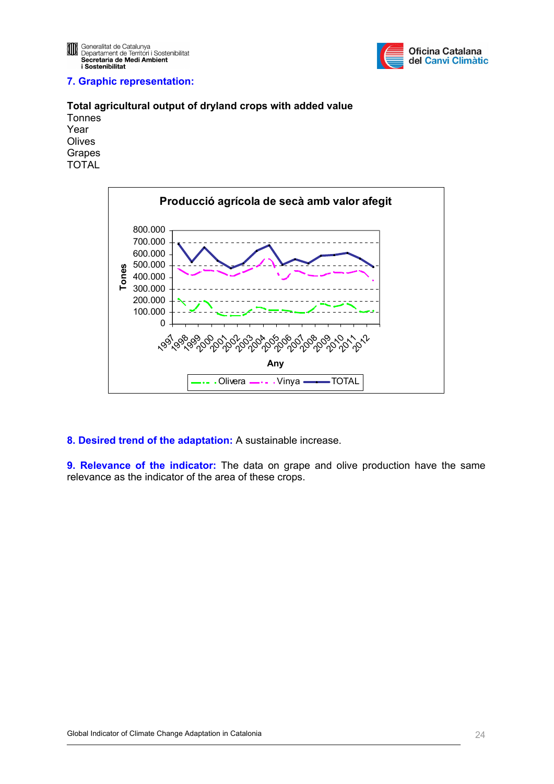

#### **7. Graphic representation:**

#### **Total agricultural output of dryland crops with added value**  Tonnes Year **Olives** Grapes

TOTAL



#### **8. Desired trend of the adaptation:** A sustainable increase.

**9. Relevance of the indicator:** The data on grape and olive production have the same relevance as the indicator of the area of these crops.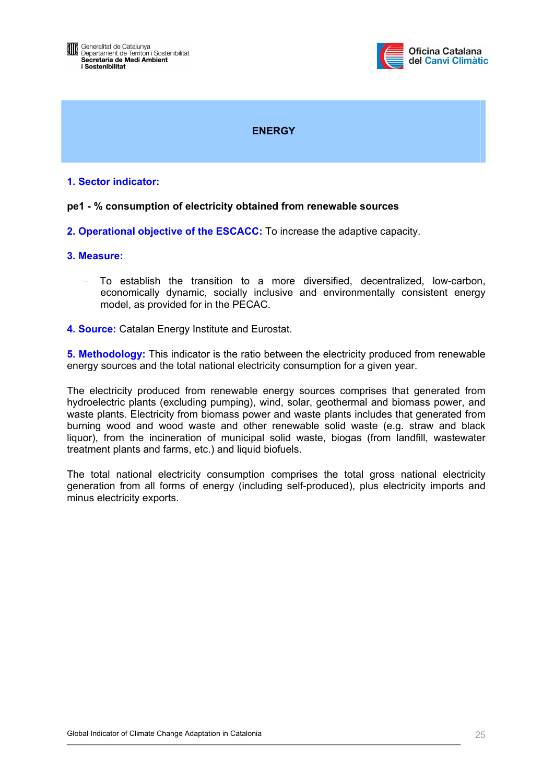

# **ENERGY**

#### <span id="page-24-0"></span>**1. Sector indicator:**

#### **pe1 - % consumption of electricity obtained from renewable sources**

**2. Operational objective of the ESCACC:** To increase the adaptive capacity.

#### **3. Measure:**

- − To establish the transition to a more diversified, decentralized, low-carbon, economically dynamic, socially inclusive and environmentally consistent energy model, as provided for in the PECAC.
- **4. Source:** Catalan Energy Institute and Eurostat.

**5. Methodology:** This indicator is the ratio between the electricity produced from renewable energy sources and the total national electricity consumption for a given year.

The electricity produced from renewable energy sources comprises that generated from hydroelectric plants (excluding pumping), wind, solar, geothermal and biomass power, and waste plants. Electricity from biomass power and waste plants includes that generated from burning wood and wood waste and other renewable solid waste (e.g. straw and black liquor), from the incineration of municipal solid waste, biogas (from landfill, wastewater treatment plants and farms, etc.) and liquid biofuels.

The total national electricity consumption comprises the total gross national electricity generation from all forms of energy (including self-produced), plus electricity imports and minus electricity exports.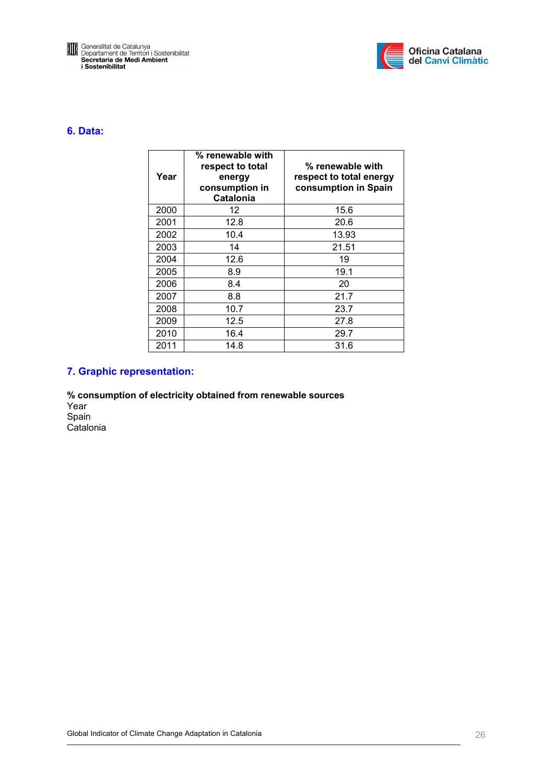



#### **6. Data:**

| Year | % renewable with<br>respect to total<br>energy<br>consumption in<br><b>Catalonia</b> | % renewable with<br>respect to total energy<br>consumption in Spain |
|------|--------------------------------------------------------------------------------------|---------------------------------------------------------------------|
| 2000 | 12                                                                                   | 15.6                                                                |
| 2001 | 12.8                                                                                 | 20.6                                                                |
| 2002 | 10.4                                                                                 | 13.93                                                               |
| 2003 | 14                                                                                   | 21.51                                                               |
| 2004 | 12.6                                                                                 | 19                                                                  |
| 2005 | 8.9                                                                                  | 19.1                                                                |
| 2006 | 8.4                                                                                  | 20                                                                  |
| 2007 | 8.8                                                                                  | 21.7                                                                |
| 2008 | 10.7                                                                                 | 23.7                                                                |
| 2009 | 12.5                                                                                 | 27.8                                                                |
| 2010 | 16.4                                                                                 | 29.7                                                                |
| 2011 | 14.8                                                                                 | 31.6                                                                |

#### **7. Graphic representation:**

**% consumption of electricity obtained from renewable sources**  Year Spain **Catalonia**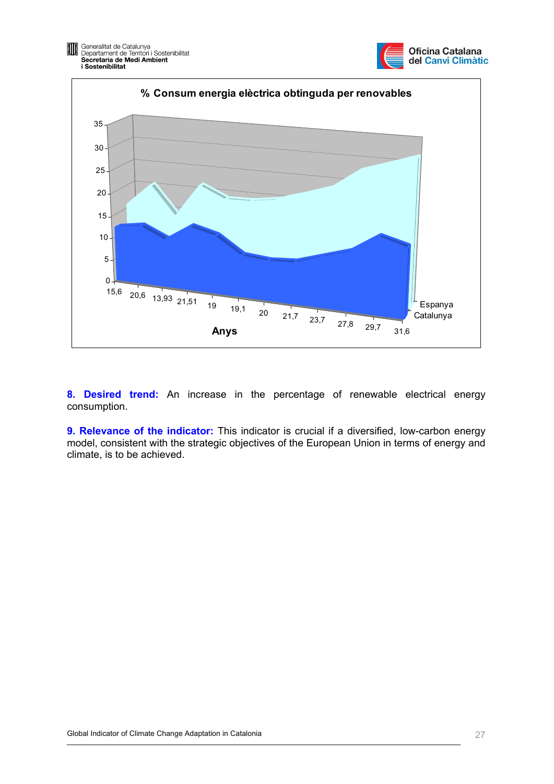



**8. Desired trend:** An increase in the percentage of renewable electrical energy consumption.

**9. Relevance of the indicator:** This indicator is crucial if a diversified, low-carbon energy model, consistent with the strategic objectives of the European Union in terms of energy and climate, is to be achieved.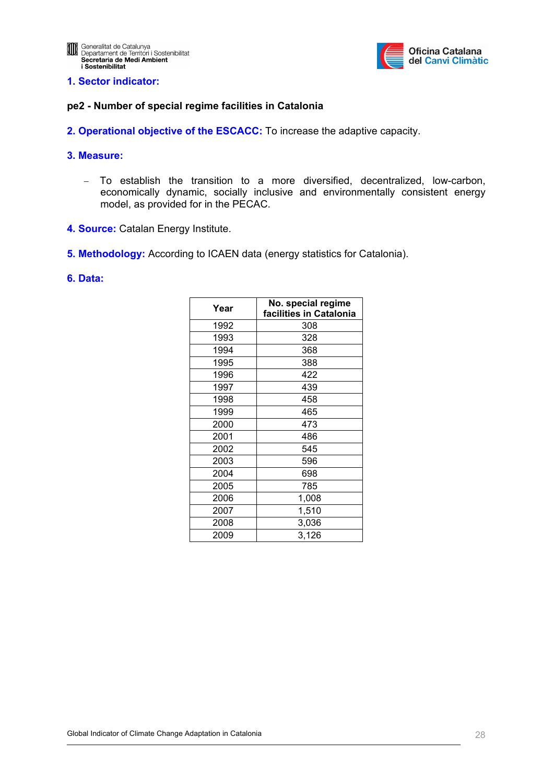

#### <span id="page-27-0"></span>**1. Sector indicator:**

#### **pe2 - Number of special regime facilities in Catalonia**

**2. Operational objective of the ESCACC:** To increase the adaptive capacity.

#### **3. Measure:**

- − To establish the transition to a more diversified, decentralized, low-carbon, economically dynamic, socially inclusive and environmentally consistent energy model, as provided for in the PECAC.
- **4. Source:** Catalan Energy Institute.
- **5. Methodology:** According to ICAEN data (energy statistics for Catalonia).

#### **6. Data:**

| Year | No. special regime      |
|------|-------------------------|
|      | facilities in Catalonia |
| 1992 | 308                     |
| 1993 | 328                     |
| 1994 | 368                     |
| 1995 | 388                     |
| 1996 | 422                     |
| 1997 | 439                     |
| 1998 | 458                     |
| 1999 | 465                     |
| 2000 | 473                     |
| 2001 | 486                     |
| 2002 | 545                     |
| 2003 | 596                     |
| 2004 | 698                     |
| 2005 | 785                     |
| 2006 | 1,008                   |
| 2007 | 1,510                   |
| 2008 | 3,036                   |
| 2009 | 3,126                   |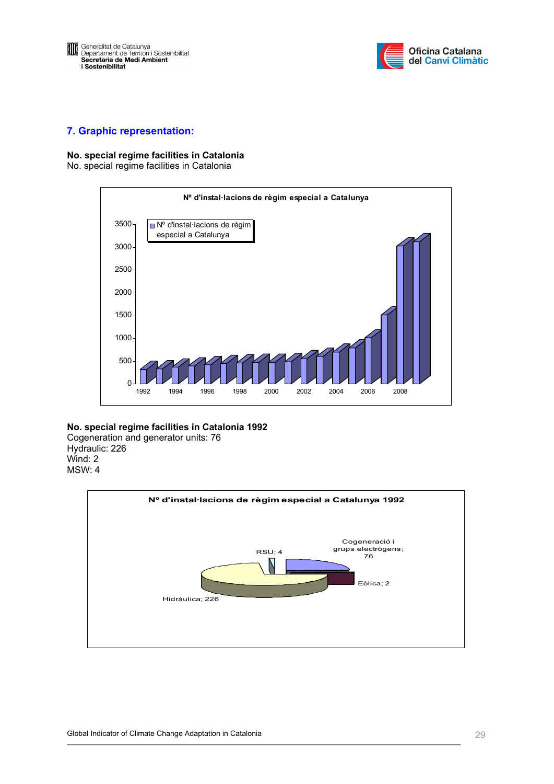



#### **7. Graphic representation:**

#### **No. special regime facilities in Catalonia**

No. special regime facilities in Catalonia



#### **No. special regime facilities in Catalonia 1992**

Cogeneration and generator units: 76 Hydraulic: 226 Wind: 2 MSW: 4

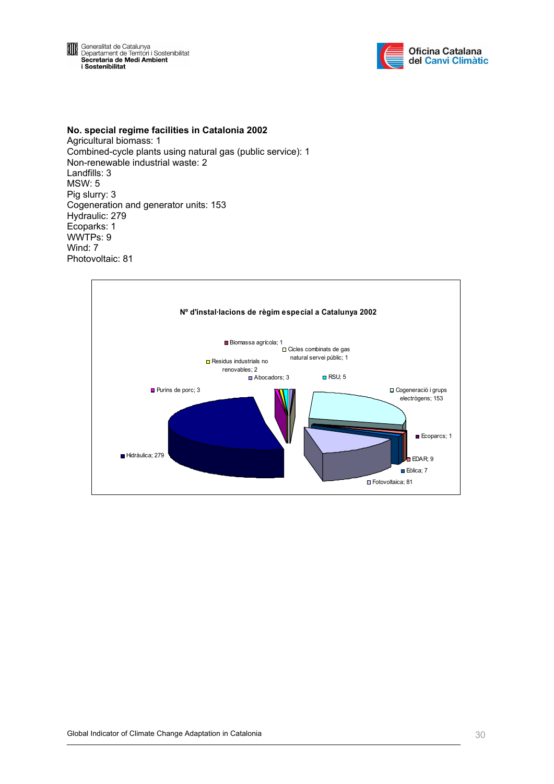**El Ceneralitat de Catalunya<br>
Departament de Territori i Sostenibilitat<br>
Secretaria de Medi Ambient<br>
i Sostenibilitat** 



**No. special regime facilities in Catalonia 2002**  Agricultural biomass: 1 Combined-cycle plants using natural gas (public service): 1 Non-renewable industrial waste: 2 Landfills: 3 MSW: 5 Pig slurry: 3 Cogeneration and generator units: 153 Hydraulic: 279 Ecoparks: 1 WWTPs: 9 Wind: 7 Photovoltaic: 81

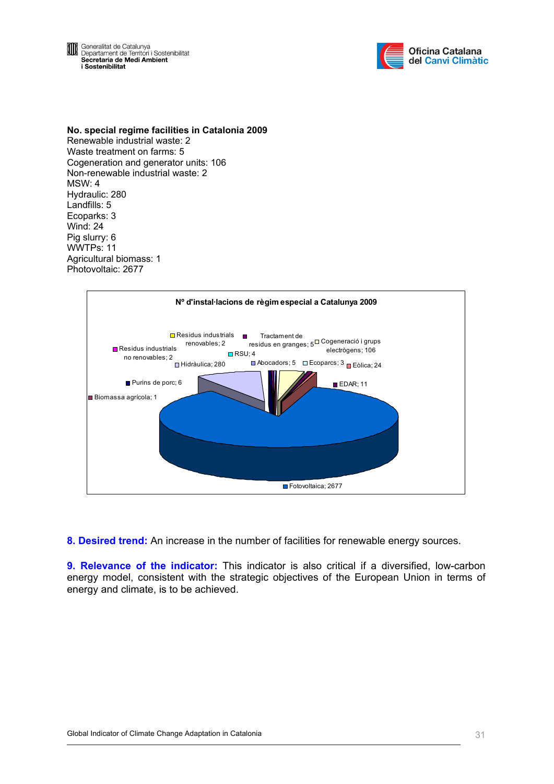Generalitat de Catalunya<br>Departament de Territori i Sostenibilitat<br>Secretaria de Medi Ambient OD i Sostenibilitat



**No. special regime facilities in Catalonia 2009**  Renewable industrial waste: 2 Waste treatment on farms: 5 Cogeneration and generator units: 106 Non-renewable industrial waste: 2 MSW: 4 Hydraulic: 280 Landfills: 5 Ecoparks: 3 Wind: 24 Pig slurry: 6 WWTPs: 11 Agricultural biomass: 1 Photovoltaic: 2677



**8. Desired trend:** An increase in the number of facilities for renewable energy sources.

**9. Relevance of the indicator:** This indicator is also critical if a diversified, low-carbon energy model, consistent with the strategic objectives of the European Union in terms of energy and climate, is to be achieved.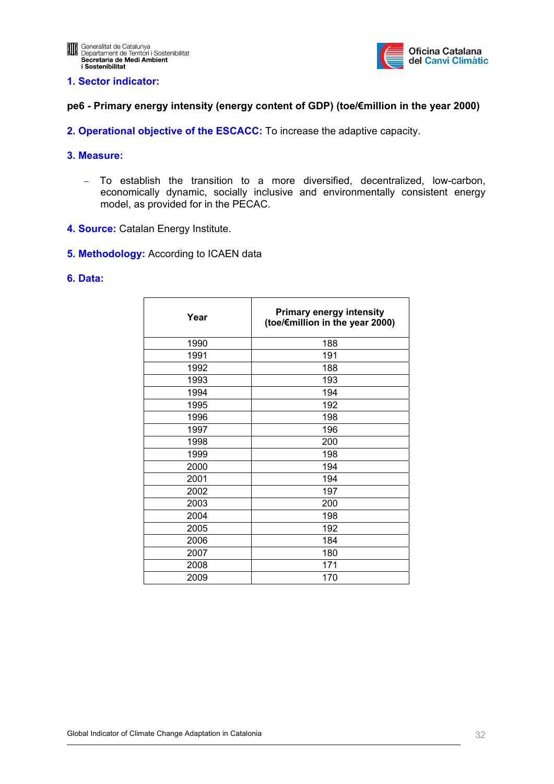

#### <span id="page-31-0"></span>**1. Sector indicator:**

#### **pe6 - Primary energy intensity (energy content of GDP) (toe/€million in the year 2000)**

**2. Operational objective of the ESCACC:** To increase the adaptive capacity.

#### **3. Measure:**

- − To establish the transition to a more diversified, decentralized, low-carbon, economically dynamic, socially inclusive and environmentally consistent energy model, as provided for in the PECAC.
- **4. Source:** Catalan Energy Institute.
- **5. Methodology:** According to ICAEN data

#### **6. Data:**

| Year | <b>Primary energy intensity</b><br>(toe/€million in the year 2000) |
|------|--------------------------------------------------------------------|
| 1990 | 188                                                                |
| 1991 | 191                                                                |
| 1992 | 188                                                                |
| 1993 | 193                                                                |
| 1994 | 194                                                                |
| 1995 | 192                                                                |
| 1996 | 198                                                                |
| 1997 | 196                                                                |
| 1998 | 200                                                                |
| 1999 | 198                                                                |
| 2000 | 194                                                                |
| 2001 | 194                                                                |
| 2002 | 197                                                                |
| 2003 | 200                                                                |
| 2004 | 198                                                                |
| 2005 | 192                                                                |
| 2006 | 184                                                                |
| 2007 | 180                                                                |
| 2008 | 171                                                                |
| 2009 | 170                                                                |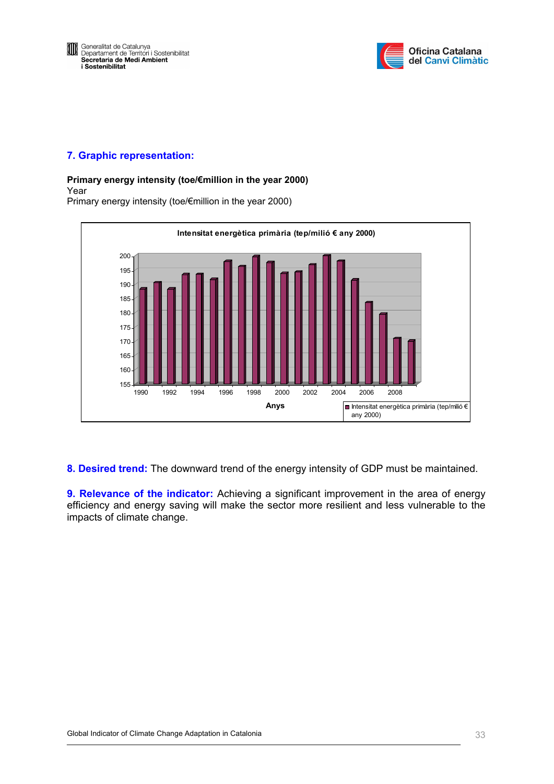



#### **7. Graphic representation:**

#### **Primary energy intensity (toe/€million in the year 2000)**

#### Year

Primary energy intensity (toe/€million in the year 2000)



**8. Desired trend:** The downward trend of the energy intensity of GDP must be maintained.

**9. Relevance of the indicator:** Achieving a significant improvement in the area of energy efficiency and energy saving will make the sector more resilient and less vulnerable to the impacts of climate change.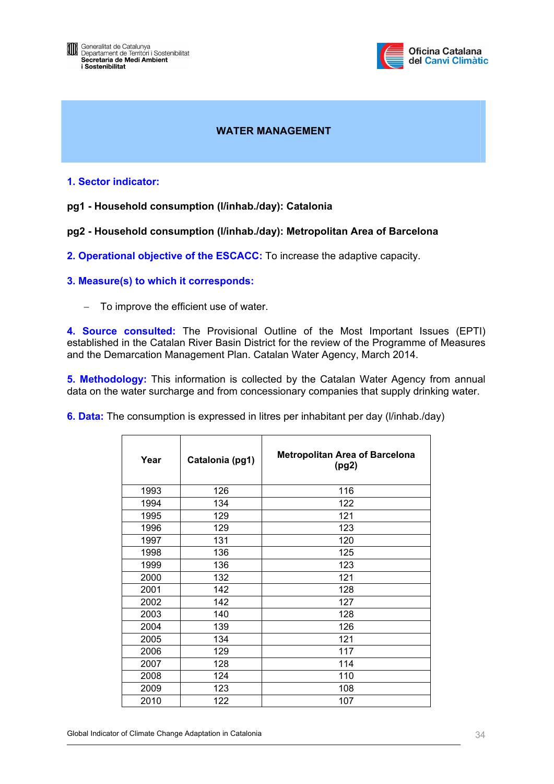<span id="page-33-0"></span>



# **WATER MANAGEMENT**

#### **1. Sector indicator:**

#### **pg1 - Household consumption (l/inhab./day): Catalonia**

#### **pg2 - Household consumption (l/inhab./day): Metropolitan Area of Barcelona**

**2. Operational objective of the ESCACC:** To increase the adaptive capacity.

#### **3. Measure(s) to which it corresponds:**

− To improve the efficient use of water.

**4. Source consulted:** The Provisional Outline of the Most Important Issues (EPTI) established in the Catalan River Basin District for the review of the Programme of Measures and the Demarcation Management Plan. Catalan Water Agency, March 2014.

**5. Methodology:** This information is collected by the Catalan Water Agency from annual data on the water surcharge and from concessionary companies that supply drinking water.

**6. Data:** The consumption is expressed in litres per inhabitant per day (l/inhab./day)

| Year | Catalonia (pg1) | <b>Metropolitan Area of Barcelona</b><br>(pg2) |  |  |  |  |
|------|-----------------|------------------------------------------------|--|--|--|--|
| 1993 | 126             | 116                                            |  |  |  |  |
| 1994 | 134             | 122                                            |  |  |  |  |
| 1995 | 129             | 121                                            |  |  |  |  |
| 1996 | 129             | 123                                            |  |  |  |  |
| 1997 | 131             | 120                                            |  |  |  |  |
| 1998 | 136             | 125                                            |  |  |  |  |
| 1999 | 136             | 123                                            |  |  |  |  |
| 2000 | 132             | 121                                            |  |  |  |  |
| 2001 | 142             | 128                                            |  |  |  |  |
| 2002 | 142             | 127                                            |  |  |  |  |
| 2003 | 140             | 128                                            |  |  |  |  |
| 2004 | 139             | 126                                            |  |  |  |  |
| 2005 | 134             | 121                                            |  |  |  |  |
| 2006 | 129             | 117                                            |  |  |  |  |
| 2007 | 128             | 114                                            |  |  |  |  |
| 2008 | 124             | 110                                            |  |  |  |  |
| 2009 | 123             | 108                                            |  |  |  |  |
| 2010 | 122             | 107                                            |  |  |  |  |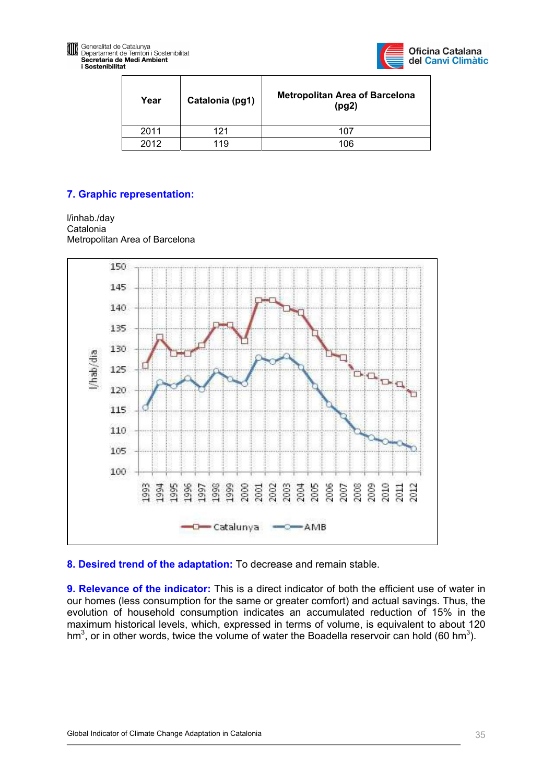



| Year | Catalonia (pg1) | <b>Metropolitan Area of Barcelona</b><br>(pg2) |  |  |
|------|-----------------|------------------------------------------------|--|--|
| 2011 | 121             | 107                                            |  |  |
| 2012 | 119             | 106                                            |  |  |

# **7. Graphic representation:**

l/inhab./day Catalonia Metropolitan Area of Barcelona



**8. Desired trend of the adaptation:** To decrease and remain stable.

**9. Relevance of the indicator:** This is a direct indicator of both the efficient use of water in our homes (less consumption for the same or greater comfort) and actual savings. Thus, the evolution of household consumption indicates an accumulated reduction of 15% in the maximum historical levels, which, expressed in terms of volume, is equivalent to about 120 hm<sup>3</sup>, or in other words, twice the volume of water the Boadella reservoir can hold (60 hm<sup>3</sup>).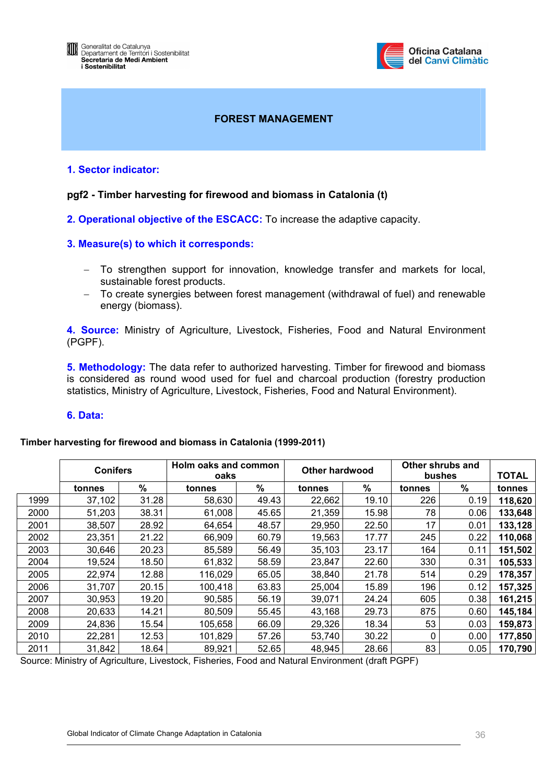

#### **FOREST MANAGEMENT**

#### <span id="page-35-0"></span>**1. Sector indicator:**

#### **pgf2 - Timber harvesting for firewood and biomass in Catalonia (t)**

**2. Operational objective of the ESCACC:** To increase the adaptive capacity.

#### **3. Measure(s) to which it corresponds:**

- − To strengthen support for innovation, knowledge transfer and markets for local, sustainable forest products.
- − To create synergies between forest management (withdrawal of fuel) and renewable energy (biomass).

**4. Source:** Ministry of Agriculture, Livestock, Fisheries, Food and Natural Environment (PGPF).

**5. Methodology:** The data refer to authorized harvesting. Timber for firewood and biomass is considered as round wood used for fuel and charcoal production (forestry production statistics, Ministry of Agriculture, Livestock, Fisheries, Food and Natural Environment).

#### **6. Data:**

#### **Timber harvesting for firewood and biomass in Catalonia (1999-2011)**

|      | <b>Conifers</b> |       | Holm oaks and common<br>oaks |       | Other hardwood |       | Other shrubs and<br>bushes |               | <b>TOTAL</b> |
|------|-----------------|-------|------------------------------|-------|----------------|-------|----------------------------|---------------|--------------|
|      | tonnes          | $\%$  | tonnes                       | $\%$  | tonnes         | $\%$  | tonnes                     | $\frac{9}{6}$ | tonnes       |
| 1999 | 37,102          | 31.28 | 58,630                       | 49.43 | 22,662         | 19.10 | 226                        | 0.19          | 118,620      |
| 2000 | 51,203          | 38.31 | 61,008                       | 45.65 | 21,359         | 15.98 | 78                         | 0.06          | 133,648      |
| 2001 | 38,507          | 28.92 | 64,654                       | 48.57 | 29,950         | 22.50 | 17                         | 0.01          | 133,128      |
| 2002 | 23,351          | 21.22 | 66,909                       | 60.79 | 19,563         | 17.77 | 245                        | 0.22          | 110,068      |
| 2003 | 30,646          | 20.23 | 85,589                       | 56.49 | 35,103         | 23.17 | 164                        | 0.11          | 151,502      |
| 2004 | 19,524          | 18.50 | 61,832                       | 58.59 | 23,847         | 22.60 | 330                        | 0.31          | 105,533      |
| 2005 | 22,974          | 12.88 | 116,029                      | 65.05 | 38,840         | 21.78 | 514                        | 0.29          | 178,357      |
| 2006 | 31,707          | 20.15 | 100,418                      | 63.83 | 25,004         | 15.89 | 196                        | 0.12          | 157,325      |
| 2007 | 30,953          | 19.20 | 90,585                       | 56.19 | 39,071         | 24.24 | 605                        | 0.38          | 161,215      |
| 2008 | 20,633          | 14.21 | 80,509                       | 55.45 | 43,168         | 29.73 | 875                        | 0.60          | 145,184      |
| 2009 | 24,836          | 15.54 | 105,658                      | 66.09 | 29,326         | 18.34 | 53                         | 0.03          | 159,873      |
| 2010 | 22,281          | 12.53 | 101,829                      | 57.26 | 53,740         | 30.22 | 0                          | 0.00          | 177,850      |
| 2011 | 31,842          | 18.64 | 89,921                       | 52.65 | 48,945         | 28.66 | 83                         | 0.05          | 170,790      |

Source: Ministry of Agriculture, Livestock, Fisheries, Food and Natural Environment (draft PGPF)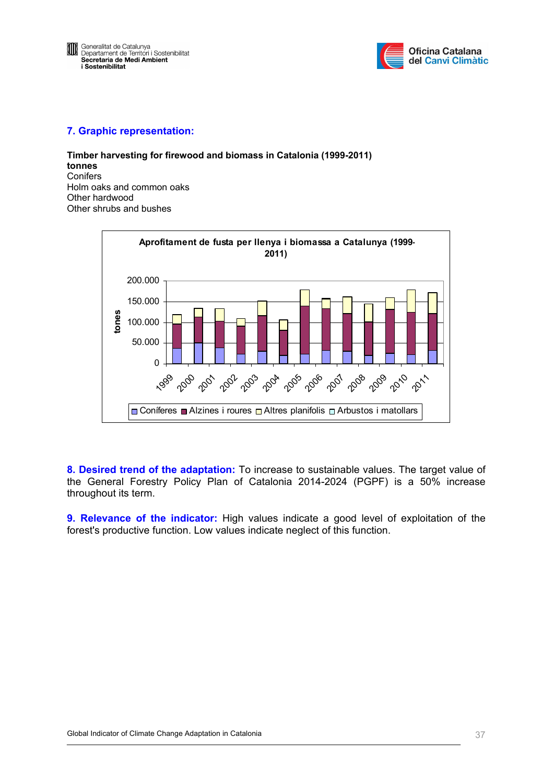

**Timber harvesting for firewood and biomass in Catalonia (1999-2011) tonnes Conifers** Holm oaks and common oaks Other hardwood Other shrubs and bushes



**8. Desired trend of the adaptation:** To increase to sustainable values. The target value of the General Forestry Policy Plan of Catalonia 2014-2024 (PGPF) is a 50% increase throughout its term.

**9. Relevance of the indicator:** High values indicate a good level of exploitation of the forest's productive function. Low values indicate neglect of this function.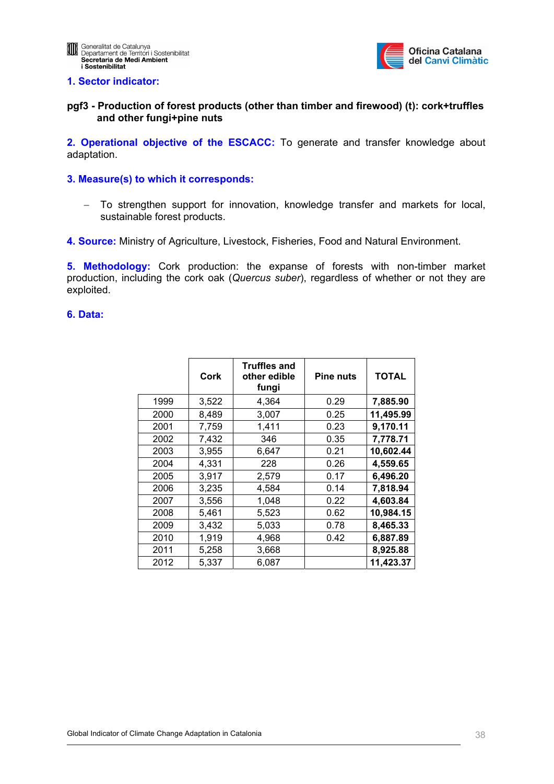

## **pgf3 - Production of forest products (other than timber and firewood) (t): cork+truffles and other fungi+pine nuts**

**2. Operational objective of the ESCACC:** To generate and transfer knowledge about adaptation.

## **3. Measure(s) to which it corresponds:**

- − To strengthen support for innovation, knowledge transfer and markets for local, sustainable forest products.
- **4. Source:** Ministry of Agriculture, Livestock, Fisheries, Food and Natural Environment.

**5. Methodology:** Cork production: the expanse of forests with non-timber market production, including the cork oak (*Quercus suber*), regardless of whether or not they are exploited.

|      | Cork  | <b>Truffles and</b><br>other edible<br>fungi | <b>Pine nuts</b> | <b>TOTAL</b> |
|------|-------|----------------------------------------------|------------------|--------------|
| 1999 | 3,522 | 4,364                                        | 0.29             | 7,885.90     |
| 2000 | 8,489 | 3,007                                        | 0.25             | 11,495.99    |
| 2001 | 7,759 | 1,411                                        | 0.23             | 9,170.11     |
| 2002 | 7,432 | 346                                          | 0.35             | 7,778.71     |
| 2003 | 3,955 | 6,647                                        | 0.21             | 10,602.44    |
| 2004 | 4,331 | 228                                          | 0.26             | 4,559.65     |
| 2005 | 3,917 | 2,579                                        | 0.17             | 6,496.20     |
| 2006 | 3,235 | 4,584                                        | 0.14             | 7,818.94     |
| 2007 | 3,556 | 1,048                                        | 0.22             | 4,603.84     |
| 2008 | 5,461 | 5,523                                        | 0.62             | 10,984.15    |
| 2009 | 3,432 | 5,033                                        | 0.78             | 8,465.33     |
| 2010 | 1,919 | 4,968                                        | 0.42             | 6,887.89     |
| 2011 | 5,258 | 3,668                                        |                  | 8,925.88     |
| 2012 | 5,337 | 6,087                                        |                  | 11,423.37    |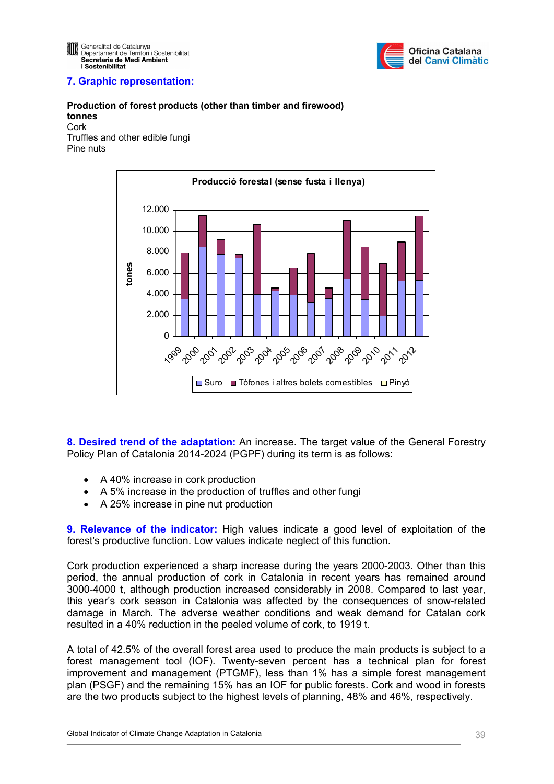

#### **Production of forest products (other than timber and firewood) tonnes**  Cork

Truffles and other edible fungi Pine nuts



**8. Desired trend of the adaptation:** An increase. The target value of the General Forestry Policy Plan of Catalonia 2014-2024 (PGPF) during its term is as follows:

- A 40% increase in cork production
- A 5% increase in the production of truffles and other fungi
- A 25% increase in pine nut production

**9. Relevance of the indicator:** High values indicate a good level of exploitation of the forest's productive function. Low values indicate neglect of this function.

Cork production experienced a sharp increase during the years 2000-2003. Other than this period, the annual production of cork in Catalonia in recent years has remained around 3000-4000 t, although production increased considerably in 2008. Compared to last year, this year's cork season in Catalonia was affected by the consequences of snow-related damage in March. The adverse weather conditions and weak demand for Catalan cork resulted in a 40% reduction in the peeled volume of cork, to 1919 t.

A total of 42.5% of the overall forest area used to produce the main products is subject to a forest management tool (IOF). Twenty-seven percent has a technical plan for forest improvement and management (PTGMF), less than 1% has a simple forest management plan (PSGF) and the remaining 15% has an IOF for public forests. Cork and wood in forests are the two products subject to the highest levels of planning, 48% and 46%, respectively.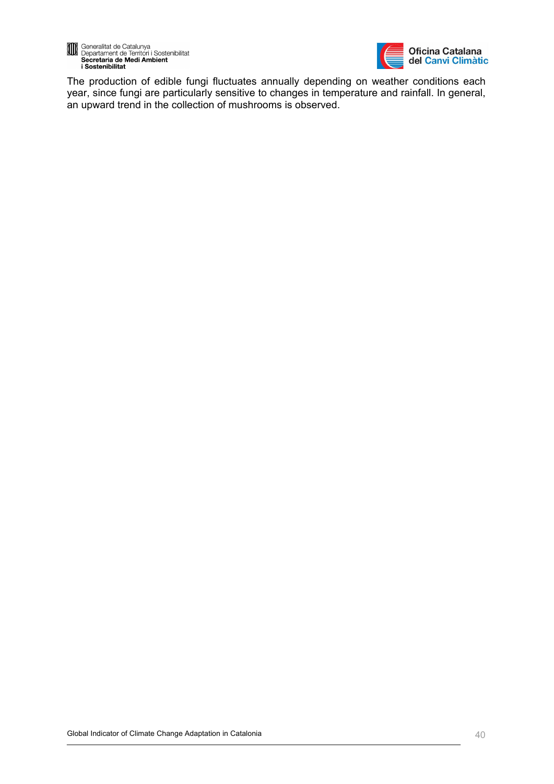



The production of edible fungi fluctuates annually depending on weather conditions each year, since fungi are particularly sensitive to changes in temperature and rainfall. In general, an upward trend in the collection of mushrooms is observed.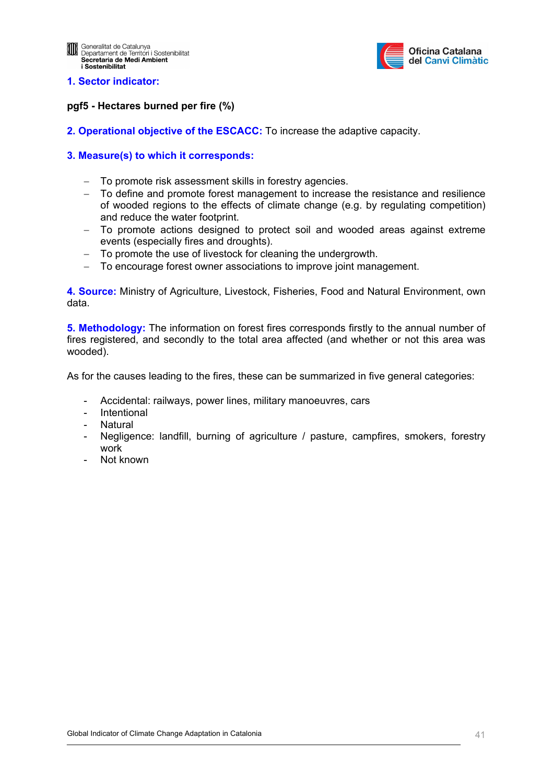

## **pgf5 - Hectares burned per fire (%)**

**2. Operational objective of the ESCACC:** To increase the adaptive capacity.

## **3. Measure(s) to which it corresponds:**

- − To promote risk assessment skills in forestry agencies.
- − To define and promote forest management to increase the resistance and resilience of wooded regions to the effects of climate change (e.g. by regulating competition) and reduce the water footprint.
- To promote actions designed to protect soil and wooded areas against extreme events (especially fires and droughts).
- − To promote the use of livestock for cleaning the undergrowth.
- − To encourage forest owner associations to improve joint management.

**4. Source:** Ministry of Agriculture, Livestock, Fisheries, Food and Natural Environment, own data.

**5. Methodology:** The information on forest fires corresponds firstly to the annual number of fires registered, and secondly to the total area affected (and whether or not this area was wooded).

As for the causes leading to the fires, these can be summarized in five general categories:

- Accidental: railways, power lines, military manoeuvres, cars
- **Intentional**
- Natural
- Negligence: landfill, burning of agriculture / pasture, campfires, smokers, forestry work
- Not known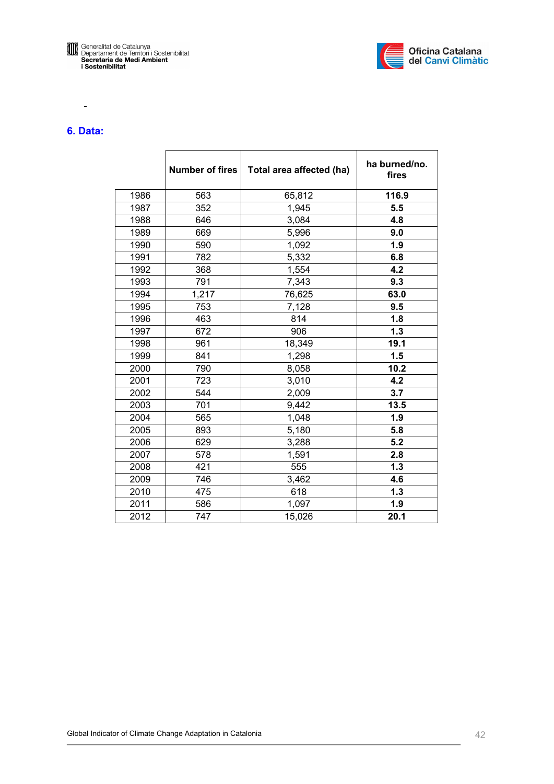



# **6. Data:**

-

|      | <b>Number of fires</b> | Total area affected (ha) | ha burned/no.<br>fires |
|------|------------------------|--------------------------|------------------------|
| 1986 | 563                    | 65,812                   | 116.9                  |
| 1987 | 352                    | 1,945                    | 5.5                    |
| 1988 | 646                    | 3,084                    | 4.8                    |
| 1989 | 669                    | 5,996                    | 9.0                    |
| 1990 | 590                    | 1,092                    | 1.9                    |
| 1991 | 782                    | 5,332                    | 6.8                    |
| 1992 | 368                    | 1,554                    | 4.2                    |
| 1993 | 791                    | 7,343                    | 9.3                    |
| 1994 | 1,217                  | 76,625                   | 63.0                   |
| 1995 | 753                    | 7,128                    | 9.5                    |
| 1996 | 463                    | 814                      | 1.8                    |
| 1997 | 672                    | 906                      | 1.3                    |
| 1998 | 961                    | 18,349                   | 19.1                   |
| 1999 | 841                    | 1,298                    | 1.5                    |
| 2000 | 790                    | 8,058                    | 10.2                   |
| 2001 | 723                    | 3,010                    | 4.2                    |
| 2002 | 544                    | 2,009                    | 3.7                    |
| 2003 | 701                    | 9,442                    | 13.5                   |
| 2004 | 565                    | 1,048                    | 1.9                    |
| 2005 | 893                    | 5,180                    | 5.8                    |
| 2006 | 629                    | 3,288                    | 5.2                    |
| 2007 | 578                    | 1,591                    | 2.8                    |
| 2008 | 421                    | 555                      | 1.3                    |
| 2009 | 746                    | 3,462                    | 4.6                    |
| 2010 | 475                    | 618                      | 1.3                    |
| 2011 | 586                    | 1,097                    | 1.9                    |
| 2012 | 747                    | 15,026                   | 20.1                   |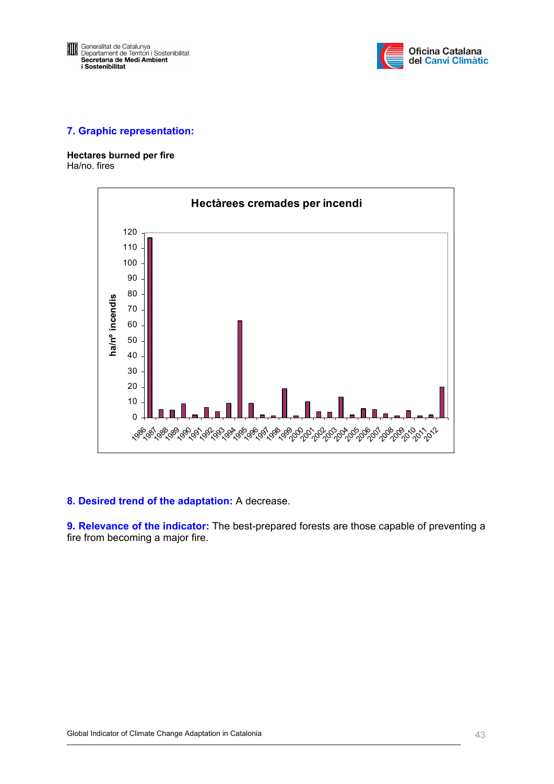

**Hectares burned per fire**  Ha/no. fires



## **8. Desired trend of the adaptation:** A decrease.

**9. Relevance of the indicator:** The best-prepared forests are those capable of preventing a fire from becoming a major fire.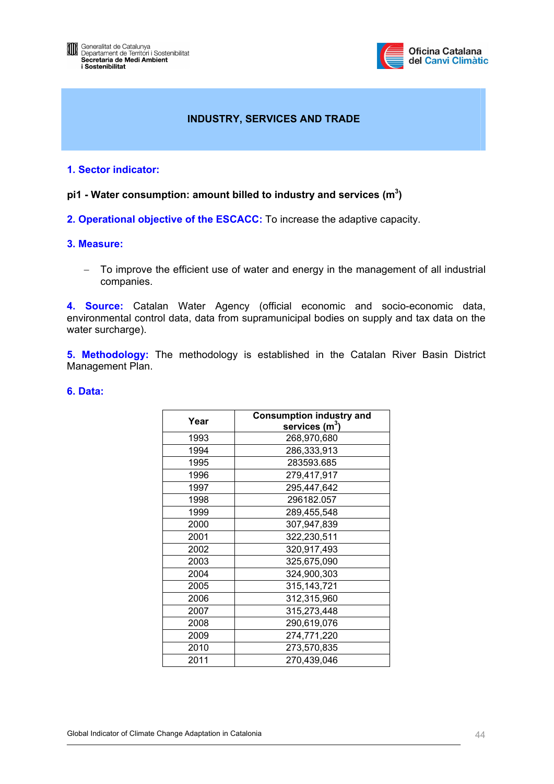

# **INDUSTRY, SERVICES AND TRADE**

## **1. Sector indicator:**

pi1 - Water consumption: amount billed to industry and services (m<sup>3</sup>)

**2. Operational objective of the ESCACC:** To increase the adaptive capacity.

## **3. Measure:**

− To improve the efficient use of water and energy in the management of all industrial companies.

**4. Source:** Catalan Water Agency (official economic and socio-economic data, environmental control data, data from supramunicipal bodies on supply and tax data on the water surcharge).

**5. Methodology:** The methodology is established in the Catalan River Basin District Management Plan.

| Year | <b>Consumption industry and</b><br>services $(m^3)$ |
|------|-----------------------------------------------------|
|      |                                                     |
| 1993 | 268,970,680                                         |
| 1994 | 286,333,913                                         |
| 1995 | 283593.685                                          |
| 1996 | 279,417,917                                         |
| 1997 | 295,447,642                                         |
| 1998 | 296182.057                                          |
| 1999 | 289,455,548                                         |
| 2000 | 307,947,839                                         |
| 2001 | 322,230,511                                         |
| 2002 | 320,917,493                                         |
| 2003 | 325,675,090                                         |
| 2004 | 324,900,303                                         |
| 2005 | 315, 143, 721                                       |
| 2006 | 312,315,960                                         |
| 2007 | 315,273,448                                         |
| 2008 | 290,619,076                                         |
| 2009 | 274,771,220                                         |
| 2010 | 273,570,835                                         |
| 2011 | 270,439,046                                         |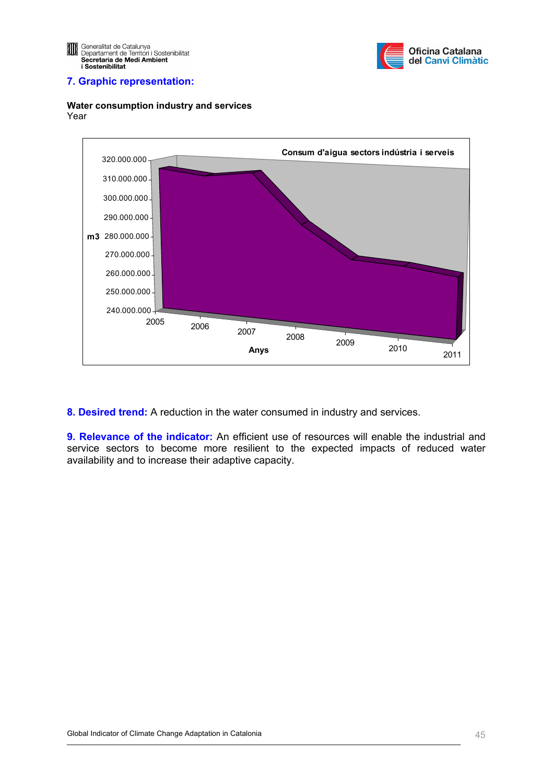



**Water consumption industry and services**  Year

**8. Desired trend:** A reduction in the water consumed in industry and services.

**9. Relevance of the indicator:** An efficient use of resources will enable the industrial and service sectors to become more resilient to the expected impacts of reduced water availability and to increase their adaptive capacity.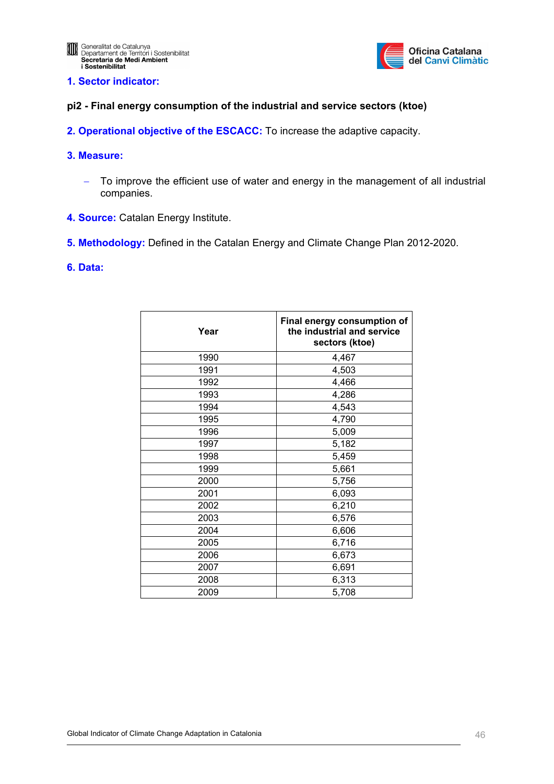

## **pi2 - Final energy consumption of the industrial and service sectors (ktoe)**

- **2. Operational objective of the ESCACC:** To increase the adaptive capacity.
- **3. Measure:** 
	- − To improve the efficient use of water and energy in the management of all industrial companies.
- **4. Source:** Catalan Energy Institute.
- **5. Methodology:** Defined in the Catalan Energy and Climate Change Plan 2012-2020.
- **6. Data:**

| Year | Final energy consumption of<br>the industrial and service<br>sectors (ktoe) |
|------|-----------------------------------------------------------------------------|
| 1990 | 4,467                                                                       |
| 1991 | 4,503                                                                       |
| 1992 | 4,466                                                                       |
| 1993 | 4,286                                                                       |
| 1994 | 4,543                                                                       |
| 1995 | 4,790                                                                       |
| 1996 | 5,009                                                                       |
| 1997 | 5,182                                                                       |
| 1998 | 5,459                                                                       |
| 1999 | 5,661                                                                       |
| 2000 | 5,756                                                                       |
| 2001 | 6,093                                                                       |
| 2002 | 6,210                                                                       |
| 2003 | 6,576                                                                       |
| 2004 | 6,606                                                                       |
| 2005 | 6,716                                                                       |
| 2006 | 6,673                                                                       |
| 2007 | 6,691                                                                       |
| 2008 | 6,313                                                                       |
| 2009 | 5,708                                                                       |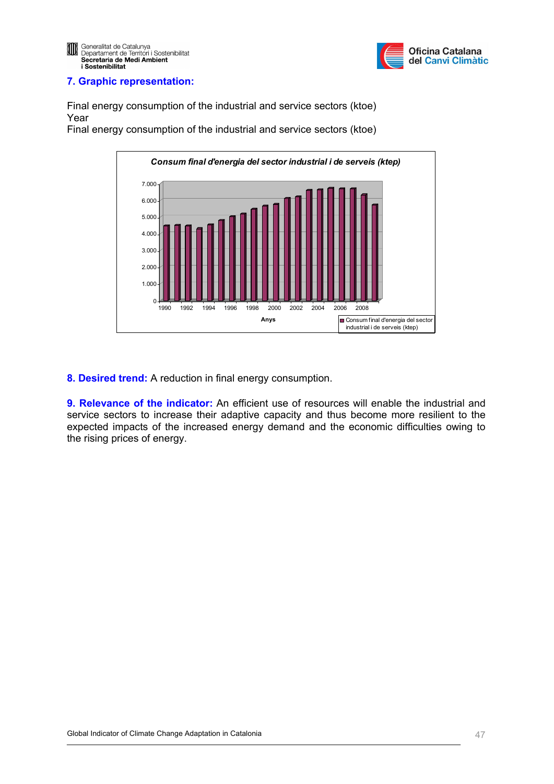

Final energy consumption of the industrial and service sectors (ktoe) Year

Final energy consumption of the industrial and service sectors (ktoe)



**8. Desired trend:** A reduction in final energy consumption.

**9. Relevance of the indicator:** An efficient use of resources will enable the industrial and service sectors to increase their adaptive capacity and thus become more resilient to the expected impacts of the increased energy demand and the economic difficulties owing to the rising prices of energy.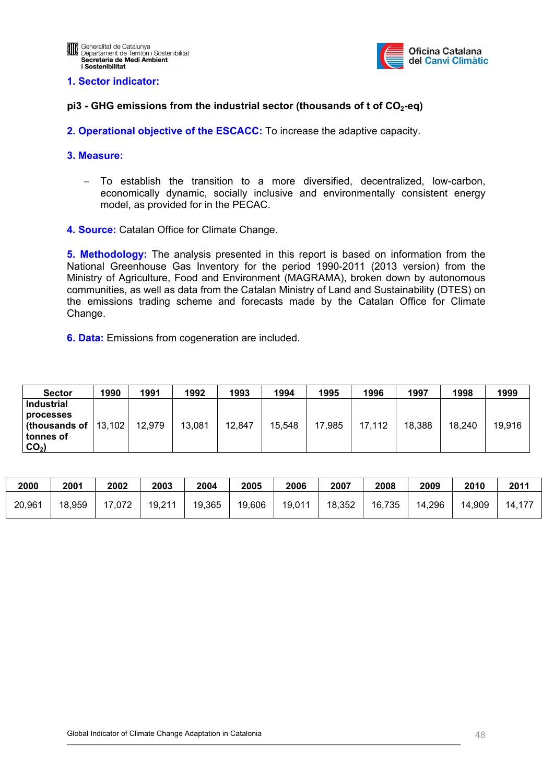

## **pi3 - GHG emissions from the industrial sector (thousands of t of CO2-eq)**

**2. Operational objective of the ESCACC:** To increase the adaptive capacity.

### **3. Measure:**

- − To establish the transition to a more diversified, decentralized, low-carbon, economically dynamic, socially inclusive and environmentally consistent energy model, as provided for in the PECAC.
- **4. Source:** Catalan Office for Climate Change.

**5. Methodology:** The analysis presented in this report is based on information from the National Greenhouse Gas Inventory for the period 1990-2011 (2013 version) from the Ministry of Agriculture, Food and Environment (MAGRAMA), broken down by autonomous communities, as well as data from the Catalan Ministry of Land and Sustainability (DTES) on the emissions trading scheme and forecasts made by the Catalan Office for Climate Change.

**6. Data:** Emissions from cogeneration are included.

| <b>Sector</b>                                                                    | 1990 | 1991   | 1992   | 1993   | 1994   | 1995   | 1996   | 1997   | 1998   | 1999   |
|----------------------------------------------------------------------------------|------|--------|--------|--------|--------|--------|--------|--------|--------|--------|
| <b>Industrial</b>                                                                |      |        |        |        |        |        |        |        |        |        |
| processes<br><b>(thousands of <math> 13,102 </math>)</b><br>tonnes of<br>$CO2$ ) |      | 12,979 | 13,081 | 12,847 | 15,548 | 17,985 | 17,112 | 18,388 | 18,240 | 19,916 |

| 2000   | 2001   | 2002   | 2003   | 2004   | 2005   | 2006   | 2007   | 2008   | 2009   | 2010   | 201'   |
|--------|--------|--------|--------|--------|--------|--------|--------|--------|--------|--------|--------|
| 20,961 | 18,959 | 17,072 | 19,211 | 19,365 | 19,606 | 19,011 | 18,352 | 16,735 | 14,296 | 14,909 | 14,177 |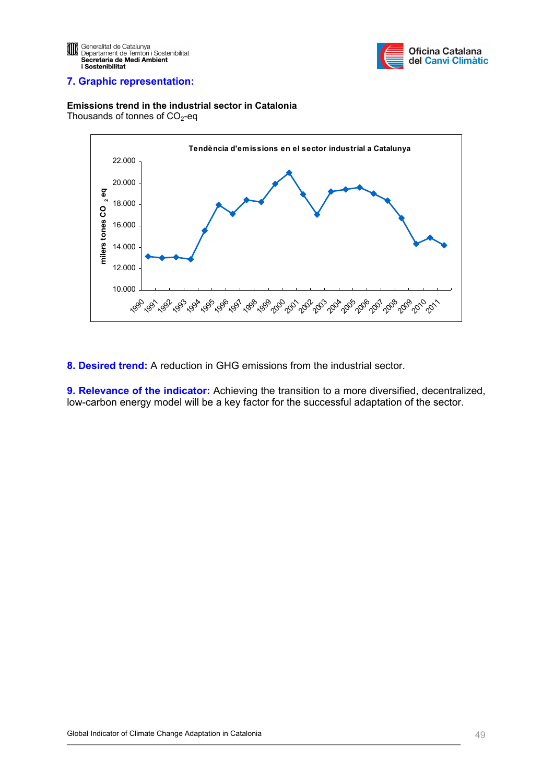



**Emissions trend in the industrial sector in Catalonia**  Thousands of tonnes of  $CO<sub>2</sub>$ -eq



**8. Desired trend:** A reduction in GHG emissions from the industrial sector.

**9. Relevance of the indicator:** Achieving the transition to a more diversified, decentralized, low-carbon energy model will be a key factor for the successful adaptation of the sector.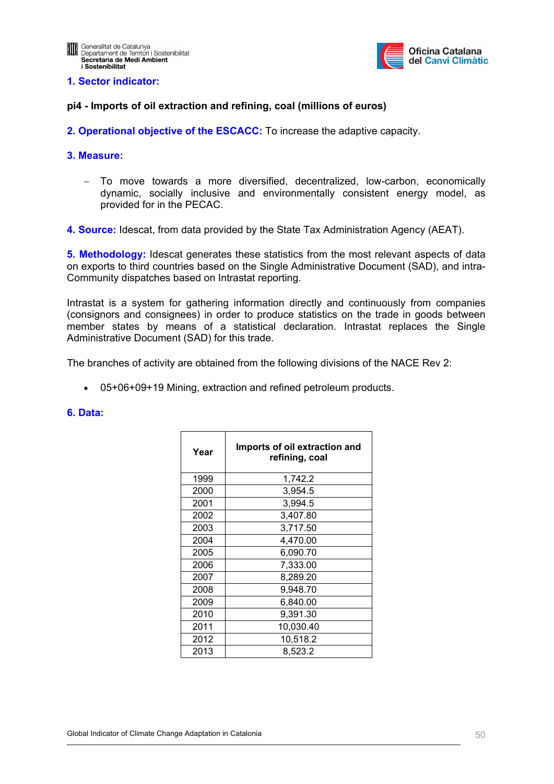

## **pi4 - Imports of oil extraction and refining, coal (millions of euros)**

**2. Operational objective of the ESCACC:** To increase the adaptive capacity.

### **3. Measure:**

− To move towards a more diversified, decentralized, low-carbon, economically dynamic, socially inclusive and environmentally consistent energy model, as provided for in the PECAC.

**4. Source:** Idescat, from data provided by the State Tax Administration Agency (AEAT).

**5. Methodology:** Idescat generates these statistics from the most relevant aspects of data on exports to third countries based on the Single Administrative Document (SAD), and intra-Community dispatches based on Intrastat reporting.

Intrastat is a system for gathering information directly and continuously from companies (consignors and consignees) in order to produce statistics on the trade in goods between member states by means of a statistical declaration. Intrastat replaces the Single Administrative Document (SAD) for this trade.

The branches of activity are obtained from the following divisions of the NACE Rev 2:

• 05+06+09+19 Mining, extraction and refined petroleum products.

| Year | Imports of oil extraction and<br>refining, coal |
|------|-------------------------------------------------|
| 1999 | 1,742.2                                         |
| 2000 | 3,954.5                                         |
| 2001 | 3,994.5                                         |
| 2002 | 3,407.80                                        |
| 2003 | 3,717.50                                        |
| 2004 | 4,470.00                                        |
| 2005 | 6,090.70                                        |
| 2006 | 7,333.00                                        |
| 2007 | 8,289.20                                        |
| 2008 | 9,948.70                                        |
| 2009 | 6,840.00                                        |
| 2010 | 9,391.30                                        |
| 2011 | 10,030.40                                       |
| 2012 | 10,518.2                                        |
| 2013 | 8,523.2                                         |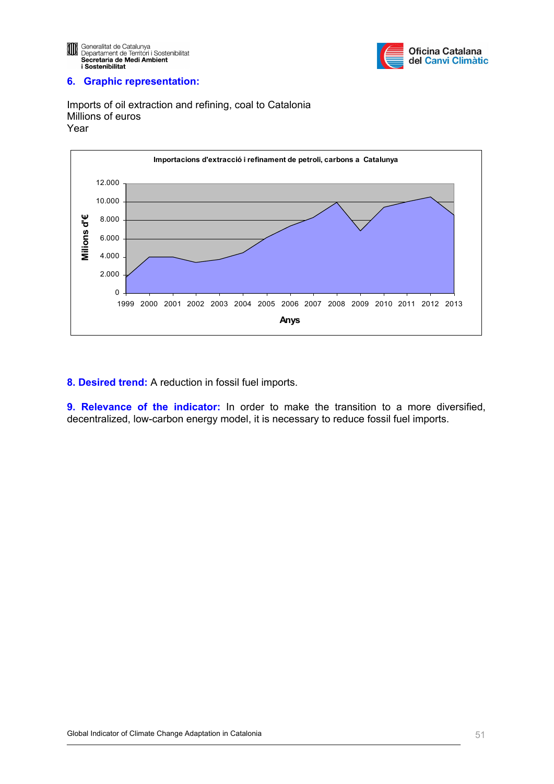



Imports of oil extraction and refining, coal to Catalonia Millions of euros Year



**8. Desired trend:** A reduction in fossil fuel imports.

**9. Relevance of the indicator:** In order to make the transition to a more diversified, decentralized, low-carbon energy model, it is necessary to reduce fossil fuel imports.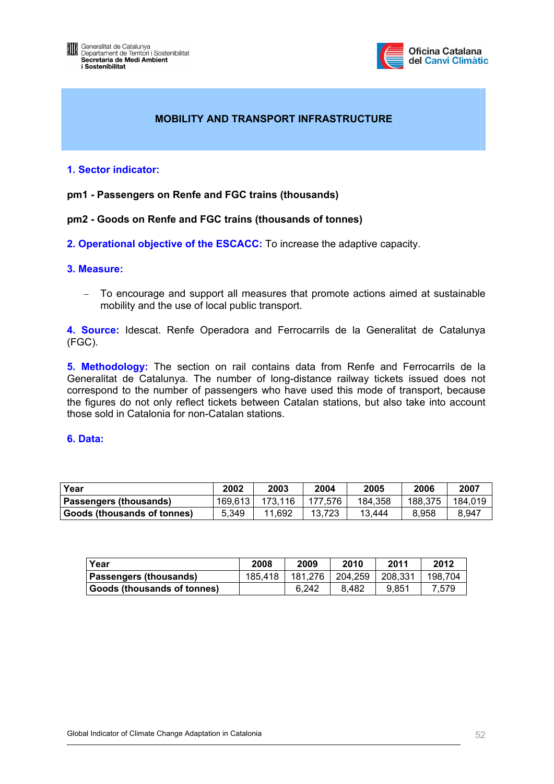

# **MOBILITY AND TRANSPORT INFRASTRUCTURE**

## **1. Sector indicator:**

## **pm1 - Passengers on Renfe and FGC trains (thousands)**

## **pm2 - Goods on Renfe and FGC trains (thousands of tonnes)**

**2. Operational objective of the ESCACC:** To increase the adaptive capacity.

## **3. Measure:**

− To encourage and support all measures that promote actions aimed at sustainable mobility and the use of local public transport.

**4. Source:** Idescat. Renfe Operadora and Ferrocarrils de la Generalitat de Catalunya (FGC).

**5. Methodology:** The section on rail contains data from Renfe and Ferrocarrils de la Generalitat de Catalunya. The number of long-distance railway tickets issued does not correspond to the number of passengers who have used this mode of transport, because the figures do not only reflect tickets between Catalan stations, but also take into account those sold in Catalonia for non-Catalan stations.

| l Year                        | 2002    | 2003    | 2004    | 2005    | 2006    | 2007    |
|-------------------------------|---------|---------|---------|---------|---------|---------|
| <b>Passengers (thousands)</b> | 169.613 | 173.116 | 177.576 | 184,358 | 188.375 | 184,019 |
| Goods (thousands of tonnes)   | 5.349   | 11,692  | 13.723  | 13.444  | 8.958   | 8.947   |

| Year                               | 2008    | 2009    | 2010    | 2011    | 2012    |
|------------------------------------|---------|---------|---------|---------|---------|
| Passengers (thousands)             | 185.418 | 181.276 | 204.259 | 208.331 | 198.704 |
| <b>Goods (thousands of tonnes)</b> |         | 6.242   | 8.482   | 9.851   | 7.579   |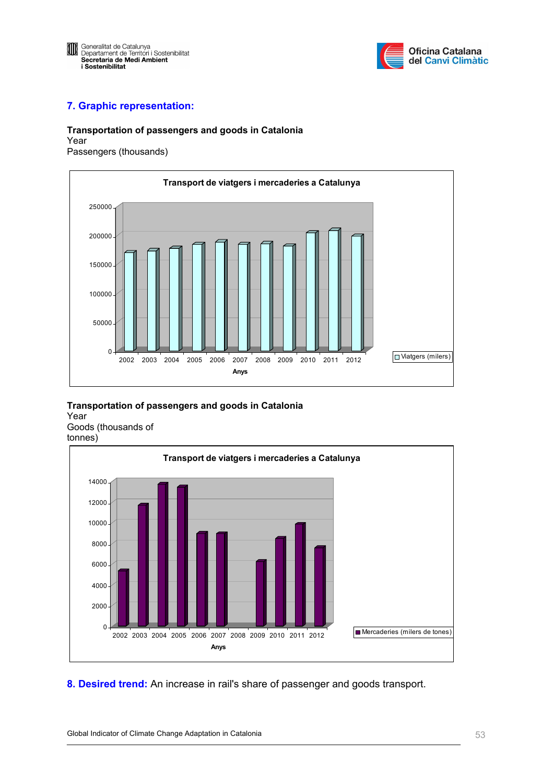



### **Transportation of passengers and goods in Catalonia**

Year





## **Transportation of passengers and goods in Catalonia**

Year Goods (thousands of tonnes)



**8. Desired trend:** An increase in rail's share of passenger and goods transport.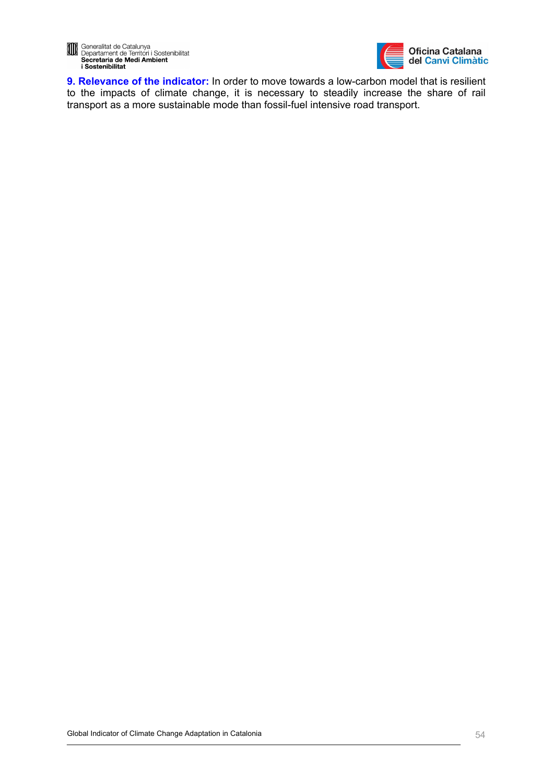

**9. Relevance of the indicator:** In order to move towards a low-carbon model that is resilient to the impacts of climate change, it is necessary to steadily increase the share of rail transport as a more sustainable mode than fossil-fuel intensive road transport.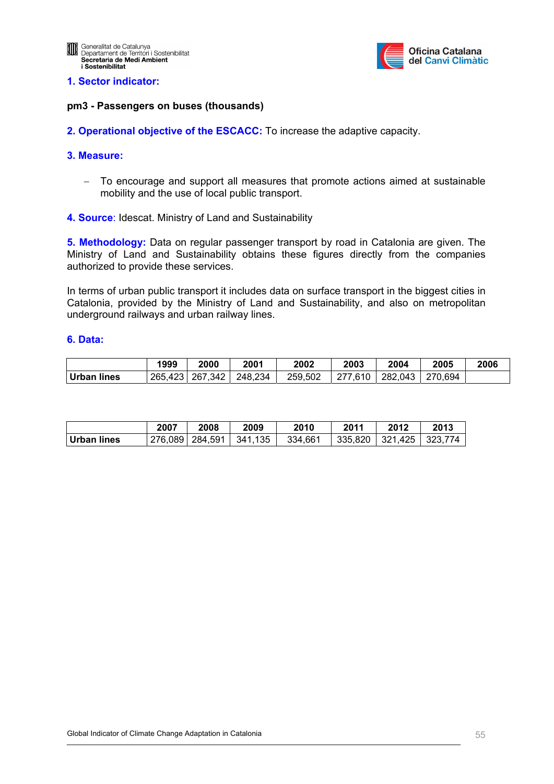

### **pm3 - Passengers on buses (thousands)**

**2. Operational objective of the ESCACC:** To increase the adaptive capacity.

### **3. Measure:**

- − To encourage and support all measures that promote actions aimed at sustainable mobility and the use of local public transport.
- **4. Source**: Idescat. Ministry of Land and Sustainability

**5. Methodology:** Data on regular passenger transport by road in Catalonia are given. The [Ministry of Land and Sustainability](http://www20.gencat.cat/portal/site/territori/menuitem.d3cc43746393685ec366ec10b0c0e1a0/?vgnextoid=d530e834b9e96210VgnVCM1000000b0c1e0aRCRD&vgnextchannel=d530e834b9e96210VgnVCM1000000b0c1e0aRCRD&vgnextfmt=default) obtains these figures directly from the companies authorized to provide these services.

In terms of urban public transport it includes data on surface transport in the biggest cities in Catalonia, provided by the [Ministry of Land and Sustainability,](http://www20.gencat.cat/portal/site/territori/menuitem.d3cc43746393685ec366ec10b0c0e1a0/?vgnextoid=d530e834b9e96210VgnVCM1000000b0c1e0aRCRD&vgnextchannel=d530e834b9e96210VgnVCM1000000b0c1e0aRCRD&vgnextfmt=default) and also on metropolitan underground railways and urban railway lines.

|             | 1999    | 2000    | 2001    | 2002    | 2003    | 2004    | 2005    | 2006 |
|-------------|---------|---------|---------|---------|---------|---------|---------|------|
| Urban lines | 265,423 | 267,342 | 248,234 | 259,502 | 277,610 | 282,043 | 270.694 |      |

|             | 2007 | 2008                        | 2009 | 2010    | 2011 | 2012                                | 2013 |
|-------------|------|-----------------------------|------|---------|------|-------------------------------------|------|
| Urban lines |      | 276,089   284,591   341,135 |      | 334,661 |      | $\vert$ 335,820   321,425   323,774 |      |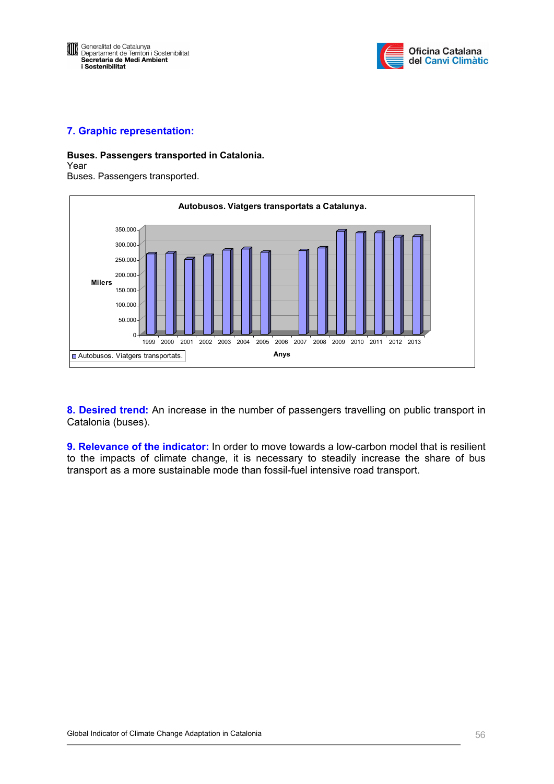



#### **Buses. Passengers transported in Catalonia.**  Year

Buses. Passengers transported.



**8. Desired trend:** An increase in the number of passengers travelling on public transport in Catalonia (buses).

**9. Relevance of the indicator:** In order to move towards a low-carbon model that is resilient to the impacts of climate change, it is necessary to steadily increase the share of bus transport as a more sustainable mode than fossil-fuel intensive road transport.